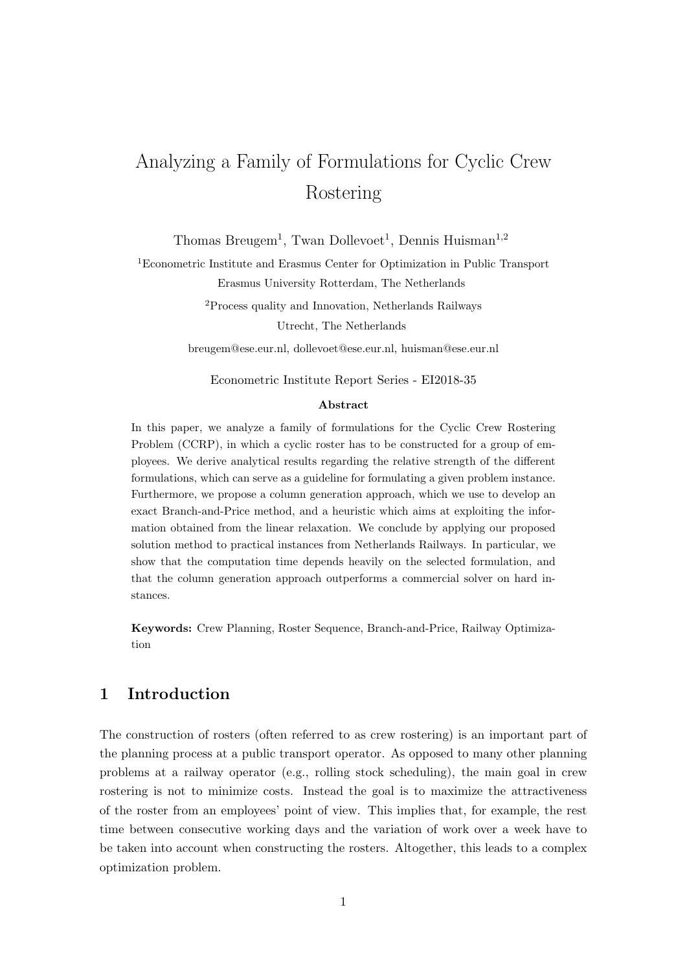# Analyzing a Family of Formulations for Cyclic Crew Rostering

Thomas Breugem<sup>1</sup>, Twan Dollevoet<sup>1</sup>, Dennis Huisman<sup>1,2</sup>

<sup>1</sup>Econometric Institute and Erasmus Center for Optimization in Public Transport Erasmus University Rotterdam, The Netherlands

> <sup>2</sup>Process quality and Innovation, Netherlands Railways Utrecht, The Netherlands

breugem@ese.eur.nl, dollevoet@ese.eur.nl, huisman@ese.eur.nl

Econometric Institute Report Series - EI2018-35

#### Abstract

In this paper, we analyze a family of formulations for the Cyclic Crew Rostering Problem (CCRP), in which a cyclic roster has to be constructed for a group of employees. We derive analytical results regarding the relative strength of the different formulations, which can serve as a guideline for formulating a given problem instance. Furthermore, we propose a column generation approach, which we use to develop an exact Branch-and-Price method, and a heuristic which aims at exploiting the information obtained from the linear relaxation. We conclude by applying our proposed solution method to practical instances from Netherlands Railways. In particular, we show that the computation time depends heavily on the selected formulation, and that the column generation approach outperforms a commercial solver on hard instances.

Keywords: Crew Planning, Roster Sequence, Branch-and-Price, Railway Optimization

## 1 Introduction

The construction of rosters (often referred to as crew rostering) is an important part of the planning process at a public transport operator. As opposed to many other planning problems at a railway operator (e.g., rolling stock scheduling), the main goal in crew rostering is not to minimize costs. Instead the goal is to maximize the attractiveness of the roster from an employees' point of view. This implies that, for example, the rest time between consecutive working days and the variation of work over a week have to be taken into account when constructing the rosters. Altogether, this leads to a complex optimization problem.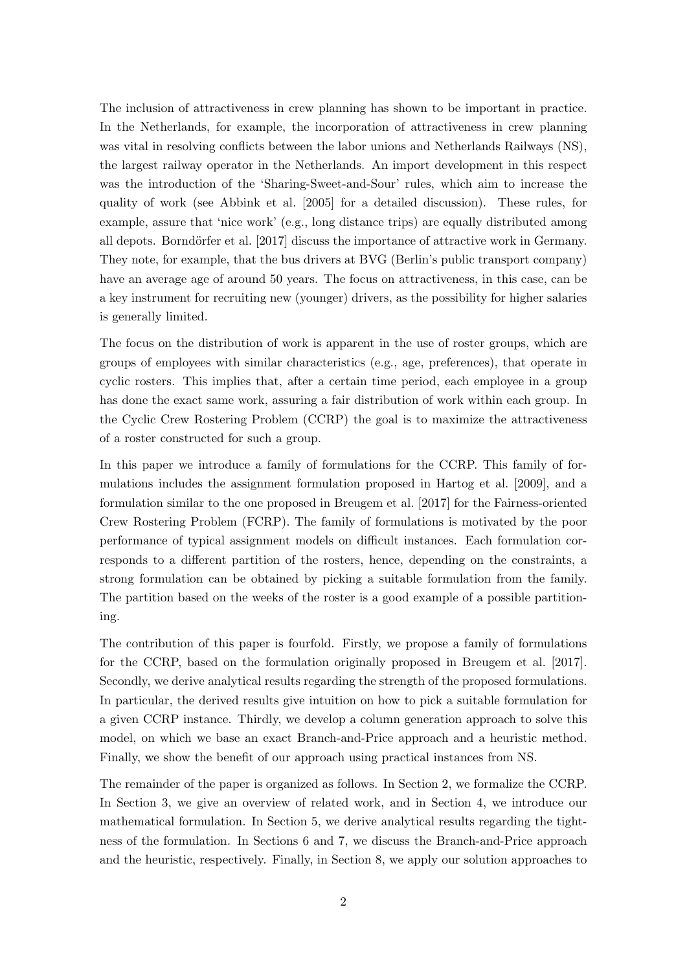The inclusion of attractiveness in crew planning has shown to be important in practice. In the Netherlands, for example, the incorporation of attractiveness in crew planning was vital in resolving conflicts between the labor unions and Netherlands Railways (NS), the largest railway operator in the Netherlands. An import development in this respect was the introduction of the 'Sharing-Sweet-and-Sour' rules, which aim to increase the quality of work (see Abbink et al. [2005] for a detailed discussion). These rules, for example, assure that 'nice work' (e.g., long distance trips) are equally distributed among all depots. Borndörfer et al. [2017] discuss the importance of attractive work in Germany. They note, for example, that the bus drivers at BVG (Berlin's public transport company) have an average age of around 50 years. The focus on attractiveness, in this case, can be a key instrument for recruiting new (younger) drivers, as the possibility for higher salaries is generally limited.

The focus on the distribution of work is apparent in the use of roster groups, which are groups of employees with similar characteristics (e.g., age, preferences), that operate in cyclic rosters. This implies that, after a certain time period, each employee in a group has done the exact same work, assuring a fair distribution of work within each group. In the Cyclic Crew Rostering Problem (CCRP) the goal is to maximize the attractiveness of a roster constructed for such a group.

In this paper we introduce a family of formulations for the CCRP. This family of formulations includes the assignment formulation proposed in Hartog et al. [2009], and a formulation similar to the one proposed in Breugem et al. [2017] for the Fairness-oriented Crew Rostering Problem (FCRP). The family of formulations is motivated by the poor performance of typical assignment models on difficult instances. Each formulation corresponds to a different partition of the rosters, hence, depending on the constraints, a strong formulation can be obtained by picking a suitable formulation from the family. The partition based on the weeks of the roster is a good example of a possible partitioning.

The contribution of this paper is fourfold. Firstly, we propose a family of formulations for the CCRP, based on the formulation originally proposed in Breugem et al. [2017]. Secondly, we derive analytical results regarding the strength of the proposed formulations. In particular, the derived results give intuition on how to pick a suitable formulation for a given CCRP instance. Thirdly, we develop a column generation approach to solve this model, on which we base an exact Branch-and-Price approach and a heuristic method. Finally, we show the benefit of our approach using practical instances from NS.

The remainder of the paper is organized as follows. In Section 2, we formalize the CCRP. In Section 3, we give an overview of related work, and in Section 4, we introduce our mathematical formulation. In Section 5, we derive analytical results regarding the tightness of the formulation. In Sections 6 and 7, we discuss the Branch-and-Price approach and the heuristic, respectively. Finally, in Section 8, we apply our solution approaches to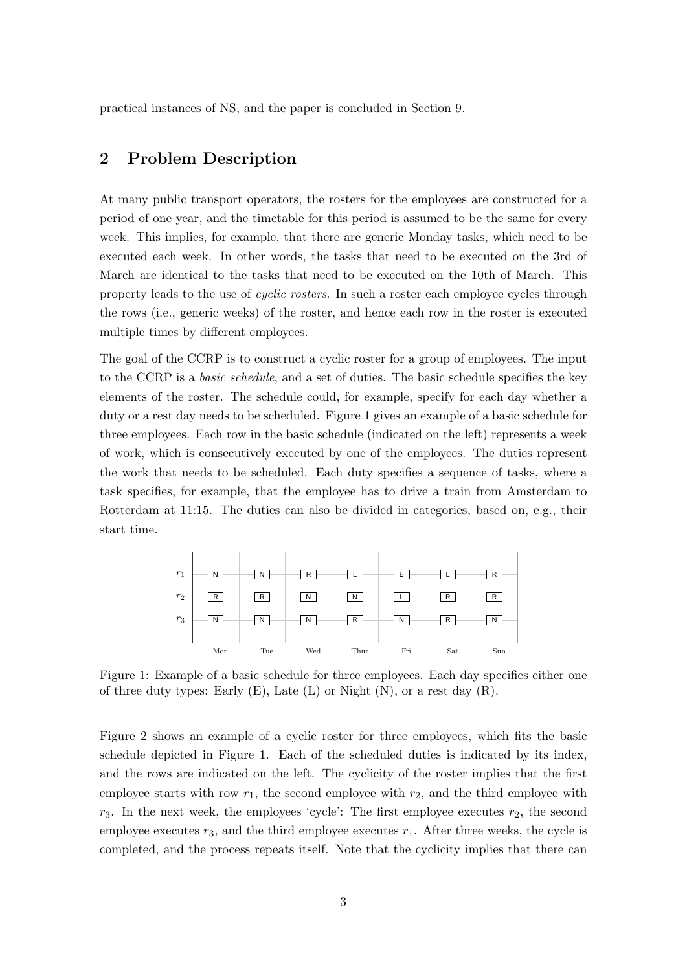practical instances of NS, and the paper is concluded in Section 9.

## 2 Problem Description

At many public transport operators, the rosters for the employees are constructed for a period of one year, and the timetable for this period is assumed to be the same for every week. This implies, for example, that there are generic Monday tasks, which need to be executed each week. In other words, the tasks that need to be executed on the 3rd of March are identical to the tasks that need to be executed on the 10th of March. This property leads to the use of cyclic rosters. In such a roster each employee cycles through the rows (i.e., generic weeks) of the roster, and hence each row in the roster is executed multiple times by different employees.

The goal of the CCRP is to construct a cyclic roster for a group of employees. The input to the CCRP is a basic schedule, and a set of duties. The basic schedule specifies the key elements of the roster. The schedule could, for example, specify for each day whether a duty or a rest day needs to be scheduled. Figure 1 gives an example of a basic schedule for three employees. Each row in the basic schedule (indicated on the left) represents a week of work, which is consecutively executed by one of the employees. The duties represent the work that needs to be scheduled. Each duty specifies a sequence of tasks, where a task specifies, for example, that the employee has to drive a train from Amsterdam to Rotterdam at 11:15. The duties can also be divided in categories, based on, e.g., their start time.



Figure 1: Example of a basic schedule for three employees. Each day specifies either one of three duty types: Early  $(E)$ , Late  $(L)$  or Night  $(N)$ , or a rest day  $(R)$ .

Figure 2 shows an example of a cyclic roster for three employees, which fits the basic schedule depicted in Figure 1. Each of the scheduled duties is indicated by its index, and the rows are indicated on the left. The cyclicity of the roster implies that the first employee starts with row  $r_1$ , the second employee with  $r_2$ , and the third employee with  $r_3$ . In the next week, the employees 'cycle': The first employee executes  $r_2$ , the second employee executes  $r_3$ , and the third employee executes  $r_1$ . After three weeks, the cycle is completed, and the process repeats itself. Note that the cyclicity implies that there can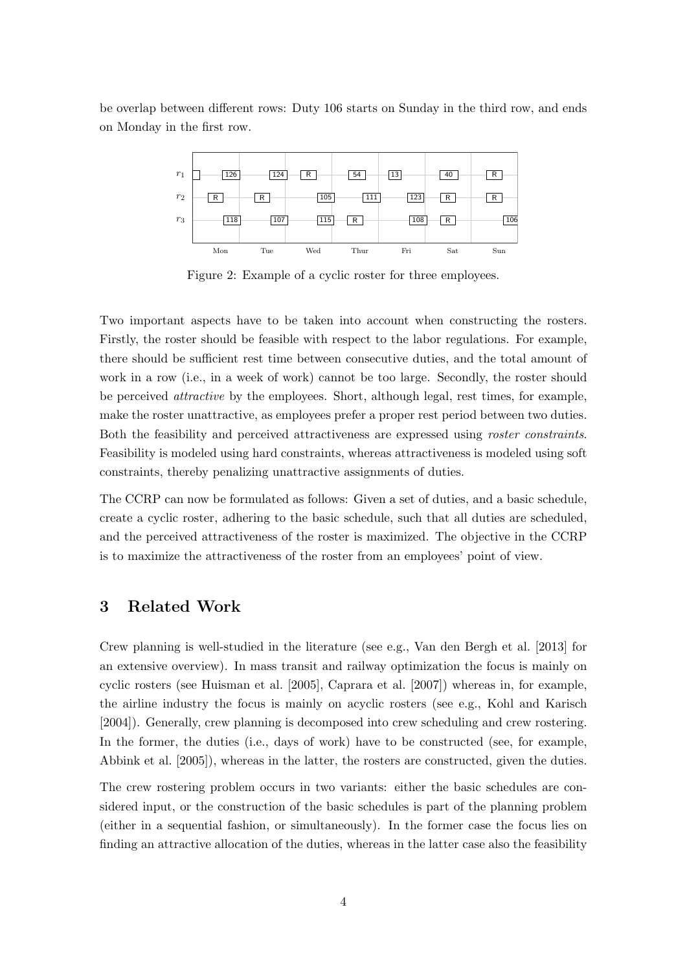be overlap between different rows: Duty 106 starts on Sunday in the third row, and ends on Monday in the first row.



Figure 2: Example of a cyclic roster for three employees.

Two important aspects have to be taken into account when constructing the rosters. Firstly, the roster should be feasible with respect to the labor regulations. For example, there should be sufficient rest time between consecutive duties, and the total amount of work in a row (i.e., in a week of work) cannot be too large. Secondly, the roster should be perceived attractive by the employees. Short, although legal, rest times, for example, make the roster unattractive, as employees prefer a proper rest period between two duties. Both the feasibility and perceived attractiveness are expressed using roster constraints. Feasibility is modeled using hard constraints, whereas attractiveness is modeled using soft constraints, thereby penalizing unattractive assignments of duties.

The CCRP can now be formulated as follows: Given a set of duties, and a basic schedule, create a cyclic roster, adhering to the basic schedule, such that all duties are scheduled, and the perceived attractiveness of the roster is maximized. The objective in the CCRP is to maximize the attractiveness of the roster from an employees' point of view.

## 3 Related Work

Crew planning is well-studied in the literature (see e.g., Van den Bergh et al. [2013] for an extensive overview). In mass transit and railway optimization the focus is mainly on cyclic rosters (see Huisman et al. [2005], Caprara et al. [2007]) whereas in, for example, the airline industry the focus is mainly on acyclic rosters (see e.g., Kohl and Karisch [2004]). Generally, crew planning is decomposed into crew scheduling and crew rostering. In the former, the duties (i.e., days of work) have to be constructed (see, for example, Abbink et al. [2005]), whereas in the latter, the rosters are constructed, given the duties.

The crew rostering problem occurs in two variants: either the basic schedules are considered input, or the construction of the basic schedules is part of the planning problem (either in a sequential fashion, or simultaneously). In the former case the focus lies on finding an attractive allocation of the duties, whereas in the latter case also the feasibility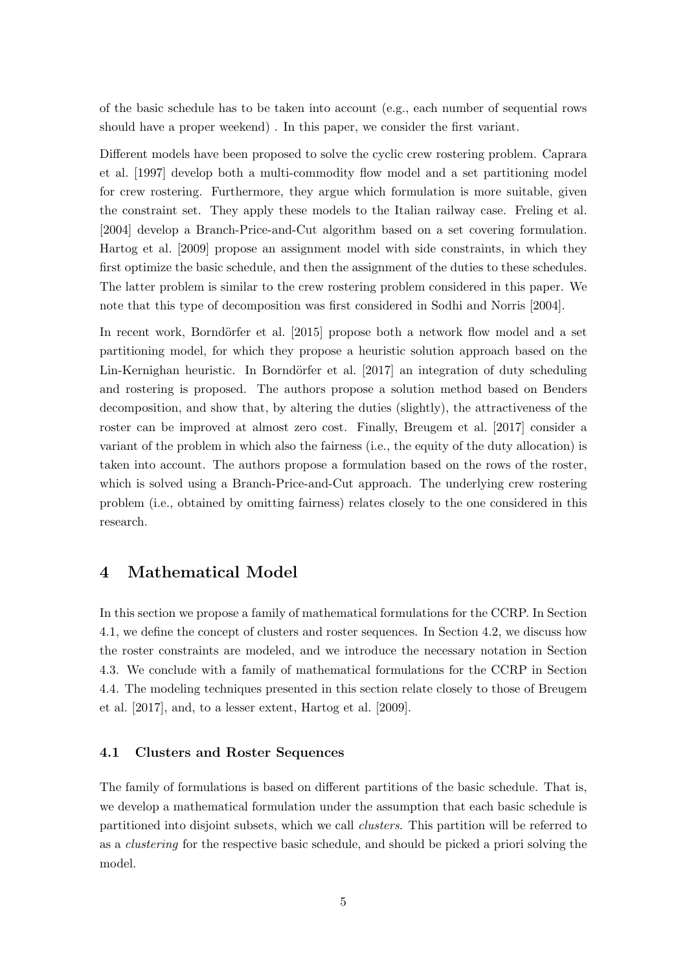of the basic schedule has to be taken into account (e.g., each number of sequential rows should have a proper weekend) . In this paper, we consider the first variant.

Different models have been proposed to solve the cyclic crew rostering problem. Caprara et al. [1997] develop both a multi-commodity flow model and a set partitioning model for crew rostering. Furthermore, they argue which formulation is more suitable, given the constraint set. They apply these models to the Italian railway case. Freling et al. [2004] develop a Branch-Price-and-Cut algorithm based on a set covering formulation. Hartog et al. [2009] propose an assignment model with side constraints, in which they first optimize the basic schedule, and then the assignment of the duties to these schedules. The latter problem is similar to the crew rostering problem considered in this paper. We note that this type of decomposition was first considered in Sodhi and Norris [2004].

In recent work, Borndörfer et al. [2015] propose both a network flow model and a set partitioning model, for which they propose a heuristic solution approach based on the Lin-Kernighan heuristic. In Borndörfer et al. [2017] an integration of duty scheduling and rostering is proposed. The authors propose a solution method based on Benders decomposition, and show that, by altering the duties (slightly), the attractiveness of the roster can be improved at almost zero cost. Finally, Breugem et al. [2017] consider a variant of the problem in which also the fairness (i.e., the equity of the duty allocation) is taken into account. The authors propose a formulation based on the rows of the roster, which is solved using a Branch-Price-and-Cut approach. The underlying crew rostering problem (i.e., obtained by omitting fairness) relates closely to the one considered in this research.

## 4 Mathematical Model

In this section we propose a family of mathematical formulations for the CCRP. In Section 4.1, we define the concept of clusters and roster sequences. In Section 4.2, we discuss how the roster constraints are modeled, and we introduce the necessary notation in Section 4.3. We conclude with a family of mathematical formulations for the CCRP in Section 4.4. The modeling techniques presented in this section relate closely to those of Breugem et al. [2017], and, to a lesser extent, Hartog et al. [2009].

#### 4.1 Clusters and Roster Sequences

The family of formulations is based on different partitions of the basic schedule. That is, we develop a mathematical formulation under the assumption that each basic schedule is partitioned into disjoint subsets, which we call clusters. This partition will be referred to as a clustering for the respective basic schedule, and should be picked a priori solving the model.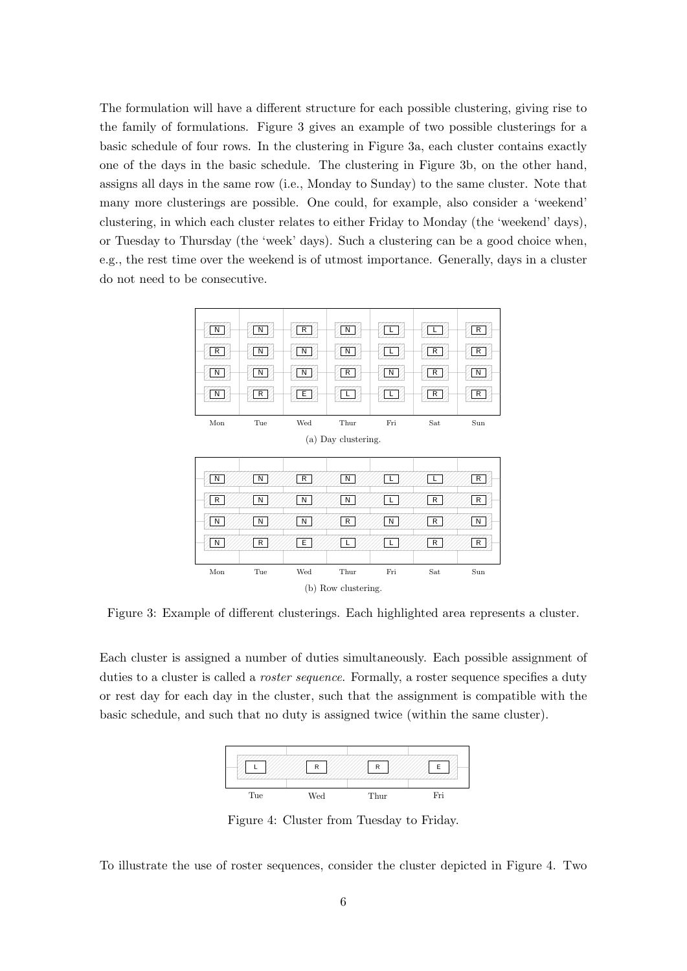The formulation will have a different structure for each possible clustering, giving rise to the family of formulations. Figure 3 gives an example of two possible clusterings for a basic schedule of four rows. In the clustering in Figure 3a, each cluster contains exactly one of the days in the basic schedule. The clustering in Figure 3b, on the other hand, assigns all days in the same row (i.e., Monday to Sunday) to the same cluster. Note that many more clusterings are possible. One could, for example, also consider a 'weekend' clustering, in which each cluster relates to either Friday to Monday (the 'weekend' days), or Tuesday to Thursday (the 'week' days). Such a clustering can be a good choice when, e.g., the rest time over the weekend is of utmost importance. Generally, days in a cluster do not need to be consecutive.



Figure 3: Example of different clusterings. Each highlighted area represents a cluster.

Each cluster is assigned a number of duties simultaneously. Each possible assignment of duties to a cluster is called a *roster sequence*. Formally, a roster sequence specifies a duty or rest day for each day in the cluster, such that the assignment is compatible with the basic schedule, and such that no duty is assigned twice (within the same cluster).



Figure 4: Cluster from Tuesday to Friday.

To illustrate the use of roster sequences, consider the cluster depicted in Figure 4. Two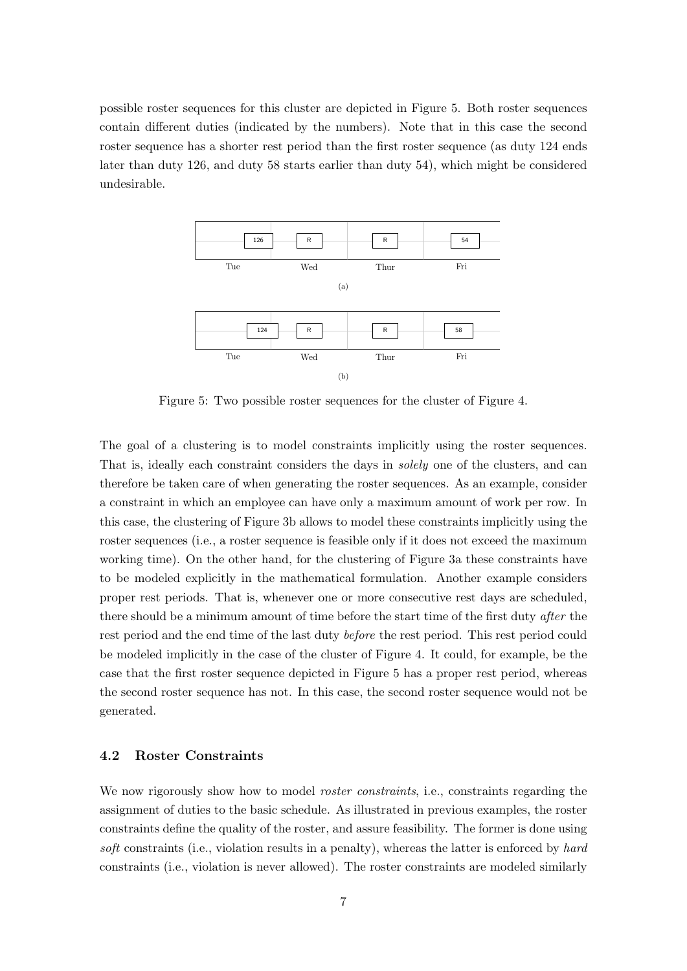possible roster sequences for this cluster are depicted in Figure 5. Both roster sequences contain different duties (indicated by the numbers). Note that in this case the second roster sequence has a shorter rest period than the first roster sequence (as duty 124 ends later than duty 126, and duty 58 starts earlier than duty 54), which might be considered undesirable.



Figure 5: Two possible roster sequences for the cluster of Figure 4.

The goal of a clustering is to model constraints implicitly using the roster sequences. That is, ideally each constraint considers the days in solely one of the clusters, and can therefore be taken care of when generating the roster sequences. As an example, consider a constraint in which an employee can have only a maximum amount of work per row. In this case, the clustering of Figure 3b allows to model these constraints implicitly using the roster sequences (i.e., a roster sequence is feasible only if it does not exceed the maximum working time). On the other hand, for the clustering of Figure 3a these constraints have to be modeled explicitly in the mathematical formulation. Another example considers proper rest periods. That is, whenever one or more consecutive rest days are scheduled, there should be a minimum amount of time before the start time of the first duty after the rest period and the end time of the last duty before the rest period. This rest period could be modeled implicitly in the case of the cluster of Figure 4. It could, for example, be the case that the first roster sequence depicted in Figure 5 has a proper rest period, whereas the second roster sequence has not. In this case, the second roster sequence would not be generated.

#### 4.2 Roster Constraints

We now rigorously show how to model *roster constraints*, i.e., constraints regarding the assignment of duties to the basic schedule. As illustrated in previous examples, the roster constraints define the quality of the roster, and assure feasibility. The former is done using soft constraints (i.e., violation results in a penalty), whereas the latter is enforced by hard constraints (i.e., violation is never allowed). The roster constraints are modeled similarly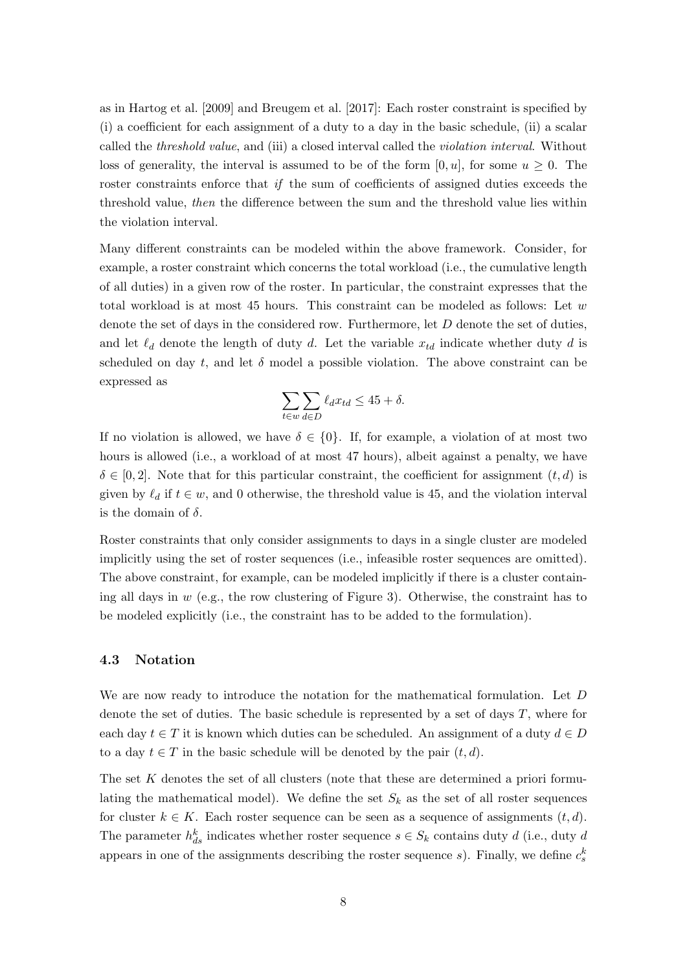as in Hartog et al. [2009] and Breugem et al. [2017]: Each roster constraint is specified by (i) a coefficient for each assignment of a duty to a day in the basic schedule, (ii) a scalar called the threshold value, and (iii) a closed interval called the violation interval. Without loss of generality, the interval is assumed to be of the form  $[0, u]$ , for some  $u \geq 0$ . The roster constraints enforce that if the sum of coefficients of assigned duties exceeds the threshold value, then the difference between the sum and the threshold value lies within the violation interval.

Many different constraints can be modeled within the above framework. Consider, for example, a roster constraint which concerns the total workload (i.e., the cumulative length of all duties) in a given row of the roster. In particular, the constraint expresses that the total workload is at most 45 hours. This constraint can be modeled as follows: Let w denote the set of days in the considered row. Furthermore, let D denote the set of duties, and let  $\ell_d$  denote the length of duty d. Let the variable  $x_{td}$  indicate whether duty d is scheduled on day t, and let  $\delta$  model a possible violation. The above constraint can be expressed as

$$
\sum_{t \in w} \sum_{d \in D} \ell_d x_{td} \le 45 + \delta.
$$

If no violation is allowed, we have  $\delta \in \{0\}$ . If, for example, a violation of at most two hours is allowed (i.e., a workload of at most 47 hours), albeit against a penalty, we have  $\delta \in [0, 2]$ . Note that for this particular constraint, the coefficient for assignment  $(t, d)$  is given by  $\ell_d$  if  $t \in w$ , and 0 otherwise, the threshold value is 45, and the violation interval is the domain of  $\delta$ .

Roster constraints that only consider assignments to days in a single cluster are modeled implicitly using the set of roster sequences (i.e., infeasible roster sequences are omitted). The above constraint, for example, can be modeled implicitly if there is a cluster containing all days in  $w$  (e.g., the row clustering of Figure 3). Otherwise, the constraint has to be modeled explicitly (i.e., the constraint has to be added to the formulation).

#### 4.3 Notation

We are now ready to introduce the notation for the mathematical formulation. Let D denote the set of duties. The basic schedule is represented by a set of days  $T$ , where for each day  $t \in T$  it is known which duties can be scheduled. An assignment of a duty  $d \in D$ to a day  $t \in T$  in the basic schedule will be denoted by the pair  $(t, d)$ .

The set K denotes the set of all clusters (note that these are determined a priori formulating the mathematical model). We define the set  $S_k$  as the set of all roster sequences for cluster  $k \in K$ . Each roster sequence can be seen as a sequence of assignments  $(t, d)$ . The parameter  $h_{ds}^k$  indicates whether roster sequence  $s \in S_k$  contains duty d (i.e., duty d appears in one of the assignments describing the roster sequence s). Finally, we define  $c_s^k$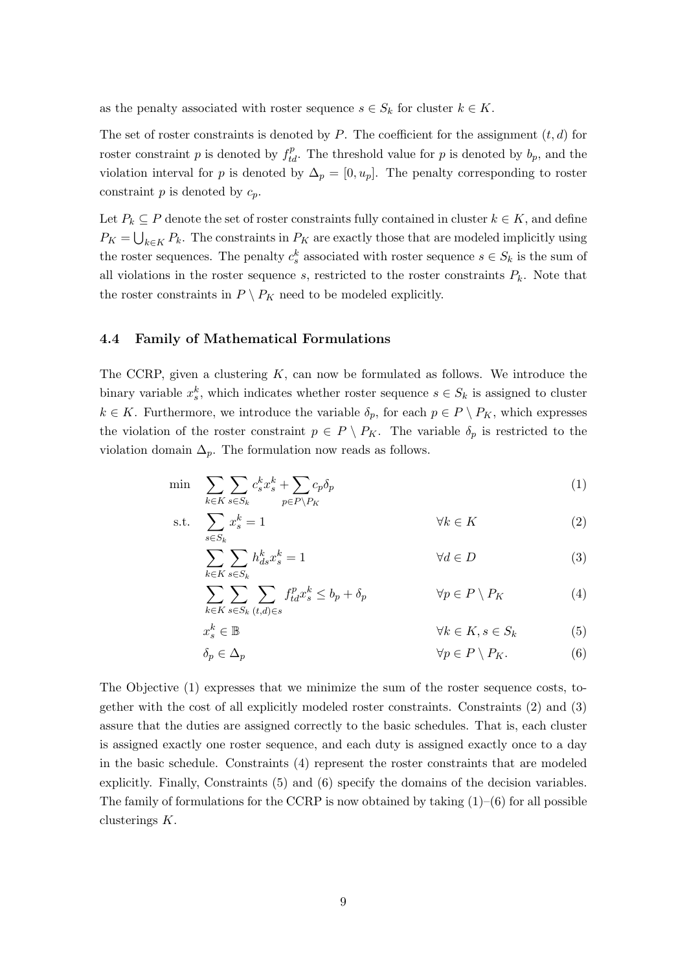as the penalty associated with roster sequence  $s \in S_k$  for cluster  $k \in K$ .

The set of roster constraints is denoted by P. The coefficient for the assignment  $(t, d)$  for roster constraint p is denoted by  $f_{td}^p$ . The threshold value for p is denoted by  $b_p$ , and the violation interval for p is denoted by  $\Delta_p = [0, u_p]$ . The penalty corresponding to roster constraint  $p$  is denoted by  $c_p$ .

Let  $P_k \subseteq P$  denote the set of roster constraints fully contained in cluster  $k \in K$ , and define  $P_K = \bigcup_{k \in K} P_k$ . The constraints in  $P_K$  are exactly those that are modeled implicitly using the roster sequences. The penalty  $c_s^k$  associated with roster sequence  $s \in S_k$  is the sum of all violations in the roster sequence s, restricted to the roster constraints  $P_k$ . Note that the roster constraints in  $P \setminus P_K$  need to be modeled explicitly.

#### 4.4 Family of Mathematical Formulations

The CCRP, given a clustering  $K$ , can now be formulated as follows. We introduce the binary variable  $x_s^k$ , which indicates whether roster sequence  $s \in S_k$  is assigned to cluster  $k \in K$ . Furthermore, we introduce the variable  $\delta_p$ , for each  $p \in P \setminus P_K$ , which expresses the violation of the roster constraint  $p \in P \setminus P_K$ . The variable  $\delta_p$  is restricted to the violation domain  $\Delta_p$ . The formulation now reads as follows.

$$
\min \sum_{k \in K} \sum_{s \in S_k} c_s^k x_s^k + \sum_{p \in P \backslash P_K} c_p \delta_p \tag{1}
$$

$$
\text{s.t.} \quad \sum_{s \in S_k} x_s^k = 1 \qquad \qquad \forall k \in K \tag{2}
$$

$$
\sum_{k \in K} \sum_{s \in S_k} h_{ds}^k x_s^k = 1 \qquad \qquad \forall d \in D \tag{3}
$$

$$
\sum_{k \in K} \sum_{s \in S_k} \sum_{(t,d) \in s} f_{td}^p x_s^k \le b_p + \delta_p \qquad \forall p \in P \setminus P_K \tag{4}
$$

$$
x_s^k \in \mathbb{B} \qquad \qquad \forall k \in K, s \in S_k \tag{5}
$$

$$
\delta_p \in \Delta_p \qquad \qquad \forall p \in P \setminus P_K. \tag{6}
$$

The Objective (1) expresses that we minimize the sum of the roster sequence costs, together with the cost of all explicitly modeled roster constraints. Constraints (2) and (3) assure that the duties are assigned correctly to the basic schedules. That is, each cluster is assigned exactly one roster sequence, and each duty is assigned exactly once to a day in the basic schedule. Constraints (4) represent the roster constraints that are modeled explicitly. Finally, Constraints (5) and (6) specify the domains of the decision variables. The family of formulations for the CCRP is now obtained by taking  $(1)$ – $(6)$  for all possible clusterings K.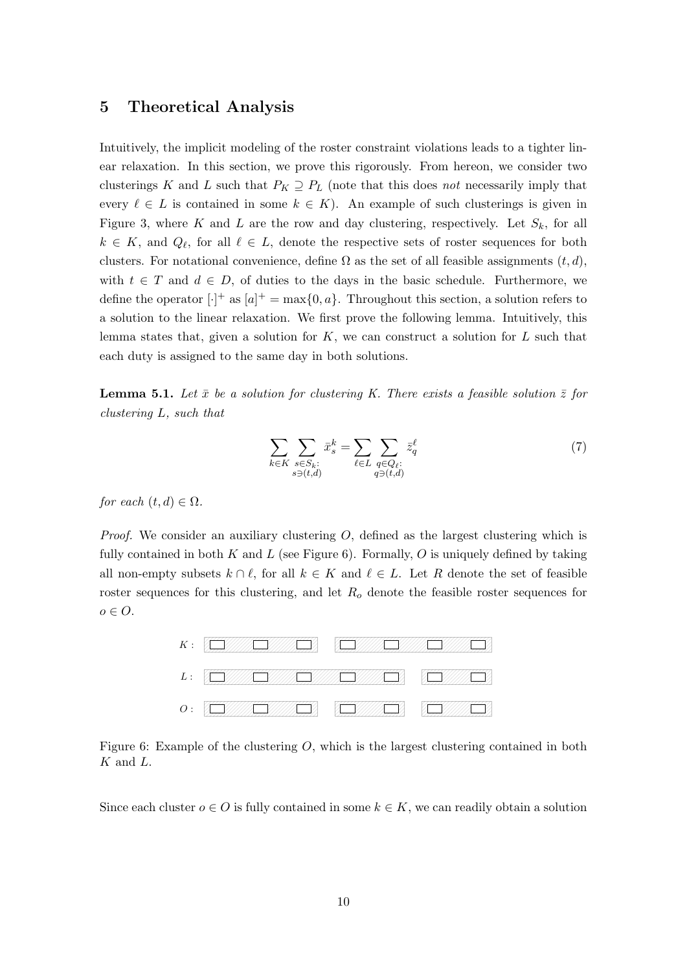## 5 Theoretical Analysis

Intuitively, the implicit modeling of the roster constraint violations leads to a tighter linear relaxation. In this section, we prove this rigorously. From hereon, we consider two clusterings K and L such that  $P_K \supseteq P_L$  (note that this does not necessarily imply that every  $\ell \in L$  is contained in some  $k \in K$ ). An example of such clusterings is given in Figure 3, where K and L are the row and day clustering, respectively. Let  $S_k$ , for all  $k \in K$ , and  $Q_{\ell}$ , for all  $\ell \in L$ , denote the respective sets of roster sequences for both clusters. For notational convenience, define  $\Omega$  as the set of all feasible assignments  $(t, d)$ , with  $t \in T$  and  $d \in D$ , of duties to the days in the basic schedule. Furthermore, we define the operator  $[\cdot]^+$  as  $[a]^+ = \max\{0, a\}$ . Throughout this section, a solution refers to a solution to the linear relaxation. We first prove the following lemma. Intuitively, this lemma states that, given a solution for  $K$ , we can construct a solution for  $L$  such that each duty is assigned to the same day in both solutions.

**Lemma 5.1.** Let  $\bar{x}$  be a solution for clustering K. There exists a feasible solution  $\bar{z}$  for clustering L, such that

$$
\sum_{k \in K} \sum_{\substack{s \in S_k:\\s \ni (t,d)}} \bar{x}_s^k = \sum_{\ell \in L} \sum_{\substack{q \in Q_\ell:\\q \ni (t,d)}} \bar{z}_q^\ell \tag{7}
$$

for each  $(t, d) \in \Omega$ .

*Proof.* We consider an auxiliary clustering  $O$ , defined as the largest clustering which is fully contained in both K and L (see Figure 6). Formally, O is uniquely defined by taking all non-empty subsets  $k \cap \ell$ , for all  $k \in K$  and  $\ell \in L$ . Let R denote the set of feasible roster sequences for this clustering, and let  $R<sub>o</sub>$  denote the feasible roster sequences for  $o \in O$ .



Figure 6: Example of the clustering  $O$ , which is the largest clustering contained in both  $K$  and  $L$ .

Since each cluster  $o \in O$  is fully contained in some  $k \in K$ , we can readily obtain a solution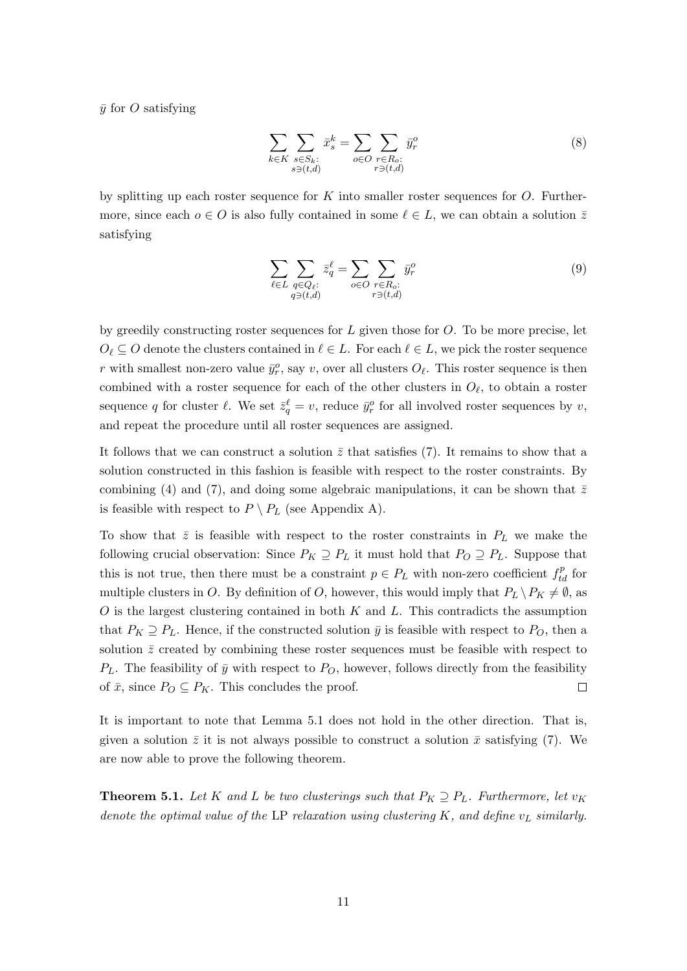$\bar{y}$  for O satisfying

$$
\sum_{k \in K} \sum_{\substack{s \in S_k:\\s \ni (t,d)}} \bar{x}_s^k = \sum_{o \in O} \sum_{\substack{r \in R_o:\\r \ni (t,d)}} \bar{y}_r^o \tag{8}
$$

by splitting up each roster sequence for K into smaller roster sequences for  $O$ . Furthermore, since each  $o \in O$  is also fully contained in some  $\ell \in L$ , we can obtain a solution  $\overline{z}$ satisfying

$$
\sum_{\ell \in L} \sum_{\substack{q \in Q_{\ell}: \\ q \ni (t,d)}} \bar{z}_q^{\ell} = \sum_{o \in O} \sum_{\substack{r \in R_o:\\r \ni (t,d)}} \bar{y}_r^o \tag{9}
$$

by greedily constructing roster sequences for  $L$  given those for  $O$ . To be more precise, let  $O_\ell \subseteq O$  denote the clusters contained in  $\ell \in L$ . For each  $\ell \in L$ , we pick the roster sequence r with smallest non-zero value  $\bar{y}_r^o$ , say v, over all clusters  $O_\ell$ . This roster sequence is then combined with a roster sequence for each of the other clusters in  $O_\ell$ , to obtain a roster sequence q for cluster  $\ell$ . We set  $\bar{z}_q^{\ell} = v$ , reduce  $\bar{y}_r^o$  for all involved roster sequences by v, and repeat the procedure until all roster sequences are assigned.

It follows that we can construct a solution  $\bar{z}$  that satisfies (7). It remains to show that a solution constructed in this fashion is feasible with respect to the roster constraints. By combining (4) and (7), and doing some algebraic manipulations, it can be shown that  $\bar{z}$ is feasible with respect to  $P \setminus P_L$  (see Appendix A).

To show that  $\bar{z}$  is feasible with respect to the roster constraints in  $P_L$  we make the following crucial observation: Since  $P_K \supseteq P_L$  it must hold that  $P_O \supseteq P_L$ . Suppose that this is not true, then there must be a constraint  $p \in P_L$  with non-zero coefficient  $f_{td}^p$  for multiple clusters in O. By definition of O, however, this would imply that  $P_L \backslash P_K \neq \emptyset$ , as  $O$  is the largest clustering contained in both  $K$  and  $L$ . This contradicts the assumption that  $P_K \supseteq P_L$ . Hence, if the constructed solution  $\bar{y}$  is feasible with respect to  $P_O$ , then a solution  $\bar{z}$  created by combining these roster sequences must be feasible with respect to  $P_L$ . The feasibility of  $\bar{y}$  with respect to  $P_O$ , however, follows directly from the feasibility of  $\bar{x}$ , since  $P_O \subseteq P_K$ . This concludes the proof.  $\Box$ 

It is important to note that Lemma 5.1 does not hold in the other direction. That is, given a solution  $\bar{z}$  it is not always possible to construct a solution  $\bar{x}$  satisfying (7). We are now able to prove the following theorem.

**Theorem 5.1.** Let K and L be two clusterings such that  $P_K \supseteq P_L$ . Furthermore, let  $v_K$ denote the optimal value of the LP relaxation using clustering K, and define  $v_L$  similarly.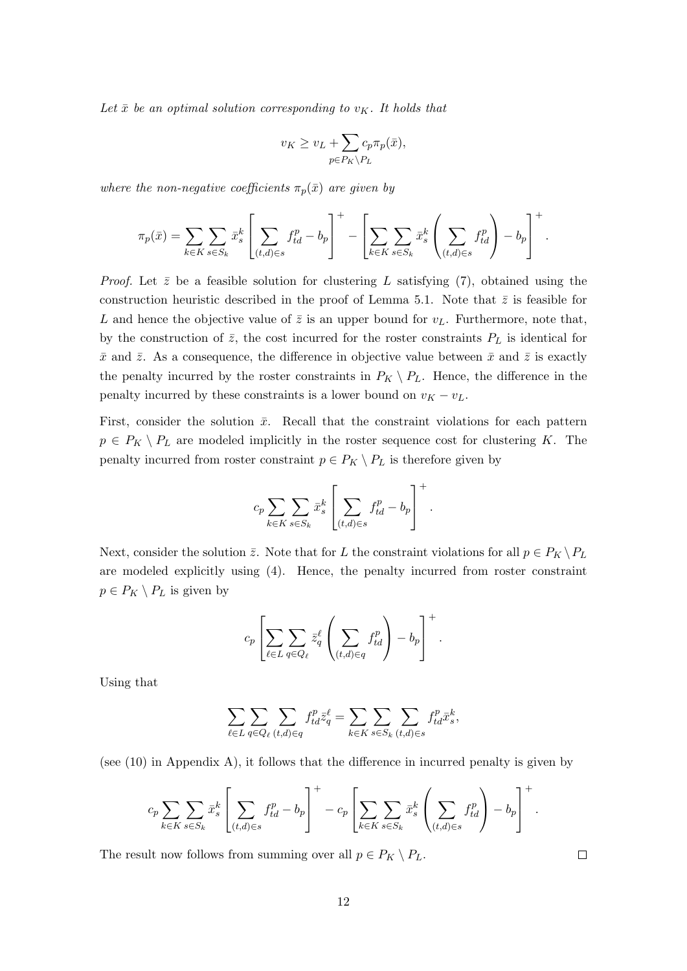Let  $\bar{x}$  be an optimal solution corresponding to  $v_K$ . It holds that

$$
v_K \ge v_L + \sum_{p \in P_K \backslash P_L} c_p \pi_p(\bar{x}),
$$

where the non-negative coefficients  $\pi_p(\bar{x})$  are given by

$$
\pi_p(\bar{x}) = \sum_{k \in K} \sum_{s \in S_k} \bar{x}_s^k \left[ \sum_{(t,d) \in s} f_{td}^p - b_p \right]^+ - \left[ \sum_{k \in K} \sum_{s \in S_k} \bar{x}_s^k \left( \sum_{(t,d) \in s} f_{td}^p \right) - b_p \right]^+.
$$

*Proof.* Let  $\bar{z}$  be a feasible solution for clustering L satisfying (7), obtained using the construction heuristic described in the proof of Lemma 5.1. Note that  $\bar{z}$  is feasible for L and hence the objective value of  $\bar{z}$  is an upper bound for  $v_L$ . Furthermore, note that, by the construction of  $\bar{z}$ , the cost incurred for the roster constraints  $P_L$  is identical for  $\bar{x}$  and  $\bar{z}$ . As a consequence, the difference in objective value between  $\bar{x}$  and  $\bar{z}$  is exactly the penalty incurred by the roster constraints in  $P_K \setminus P_L$ . Hence, the difference in the penalty incurred by these constraints is a lower bound on  $v_K - v_L$ .

First, consider the solution  $\bar{x}$ . Recall that the constraint violations for each pattern  $p \in P_K \setminus P_L$  are modeled implicitly in the roster sequence cost for clustering K. The penalty incurred from roster constraint  $p \in P_K \setminus P_L$  is therefore given by

$$
c_p \sum_{k \in K} \sum_{s \in S_k} \bar{x}_s^k \left[ \sum_{(t,d) \in s} f_{td}^p - b_p \right]^+.
$$

Next, consider the solution  $\bar{z}$ . Note that for L the constraint violations for all  $p \in P_K \backslash P_L$ are modeled explicitly using (4). Hence, the penalty incurred from roster constraint  $p \in P_K \setminus P_L$  is given by

$$
c_p \left[ \sum_{\ell \in L} \sum_{q \in Q_{\ell}} \bar{z}_q^{\ell} \left( \sum_{(t,d) \in q} f_{td}^p \right) - b_p \right]^+.
$$

Using that

$$
\sum_{\ell\in L}\sum_{q\in Q_\ell}\sum_{(t,d)\in q}f^p_{td}\bar{z}^\ell_q=\sum_{k\in K}\sum_{s\in S_k}\sum_{(t,d)\in s}f^p_{td}\bar{x}^k_s,
$$

(see (10) in Appendix A), it follows that the difference in incurred penalty is given by

$$
c_p \sum_{k \in K} \sum_{s \in S_k} \bar{x}_s^k \left[ \sum_{(t,d) \in s} f_{td}^p - b_p \right]^+ - c_p \left[ \sum_{k \in K} \sum_{s \in S_k} \bar{x}_s^k \left( \sum_{(t,d) \in s} f_{td}^p \right) - b_p \right]^+.
$$

The result now follows from summing over all  $p \in P_K \setminus P_L$ .

 $\Box$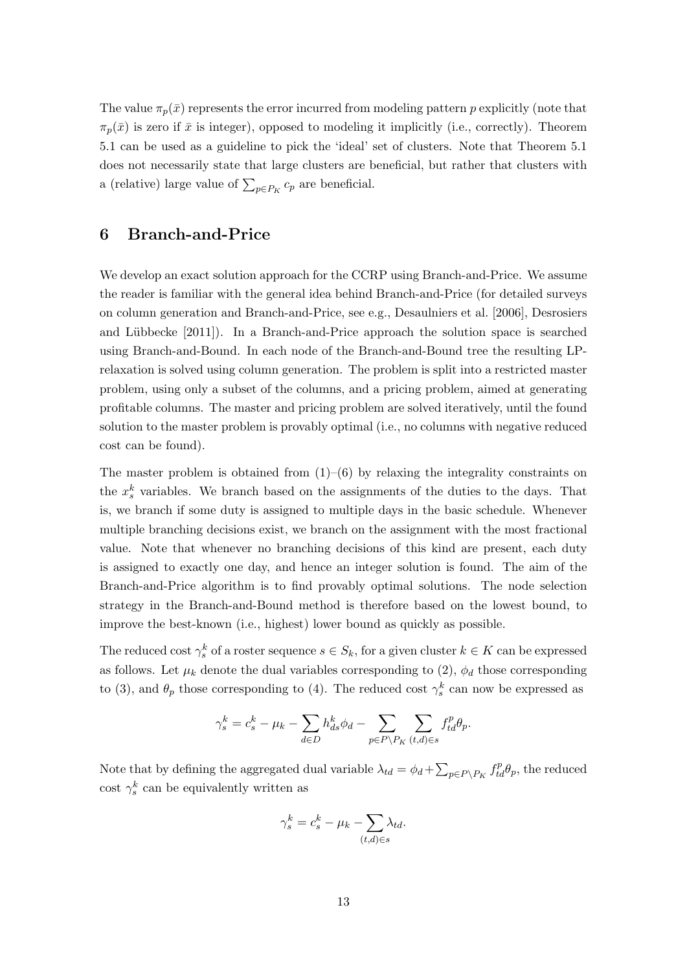The value  $\pi_p(\bar{x})$  represents the error incurred from modeling pattern p explicitly (note that  $\pi_p(\bar{x})$  is zero if  $\bar{x}$  is integer), opposed to modeling it implicitly (i.e., correctly). Theorem 5.1 can be used as a guideline to pick the 'ideal' set of clusters. Note that Theorem 5.1 does not necessarily state that large clusters are beneficial, but rather that clusters with a (relative) large value of  $\sum_{p \in P_K} c_p$  are beneficial.

### 6 Branch-and-Price

We develop an exact solution approach for the CCRP using Branch-and-Price. We assume the reader is familiar with the general idea behind Branch-and-Price (for detailed surveys on column generation and Branch-and-Price, see e.g., Desaulniers et al. [2006], Desrosiers and Lübbecke  $[2011]$ . In a Branch-and-Price approach the solution space is searched using Branch-and-Bound. In each node of the Branch-and-Bound tree the resulting LPrelaxation is solved using column generation. The problem is split into a restricted master problem, using only a subset of the columns, and a pricing problem, aimed at generating profitable columns. The master and pricing problem are solved iteratively, until the found solution to the master problem is provably optimal (i.e., no columns with negative reduced cost can be found).

The master problem is obtained from  $(1)$ – $(6)$  by relaxing the integrality constraints on the  $x_s^k$  variables. We branch based on the assignments of the duties to the days. That is, we branch if some duty is assigned to multiple days in the basic schedule. Whenever multiple branching decisions exist, we branch on the assignment with the most fractional value. Note that whenever no branching decisions of this kind are present, each duty is assigned to exactly one day, and hence an integer solution is found. The aim of the Branch-and-Price algorithm is to find provably optimal solutions. The node selection strategy in the Branch-and-Bound method is therefore based on the lowest bound, to improve the best-known (i.e., highest) lower bound as quickly as possible.

The reduced cost  $\gamma_s^k$  of a roster sequence  $s \in S_k$ , for a given cluster  $k \in K$  can be expressed as follows. Let  $\mu_k$  denote the dual variables corresponding to (2),  $\phi_d$  those corresponding to (3), and  $\theta_p$  those corresponding to (4). The reduced cost  $\gamma_s^k$  can now be expressed as

$$
\gamma_s^k = c_s^k - \mu_k - \sum_{d \in D} h_{ds}^k \phi_d - \sum_{p \in P \backslash P_K} \sum_{(t,d) \in s} f_{td}^p \theta_p.
$$

Note that by defining the aggregated dual variable  $\lambda_{td} = \phi_d + \sum_{p \in P \setminus P_K} f_{td}^p \theta_p$ , the reduced cost  $\gamma_s^k$  can be equivalently written as

$$
\gamma_s^k = c_s^k - \mu_k - \sum_{(t,d) \in s} \lambda_{td}.
$$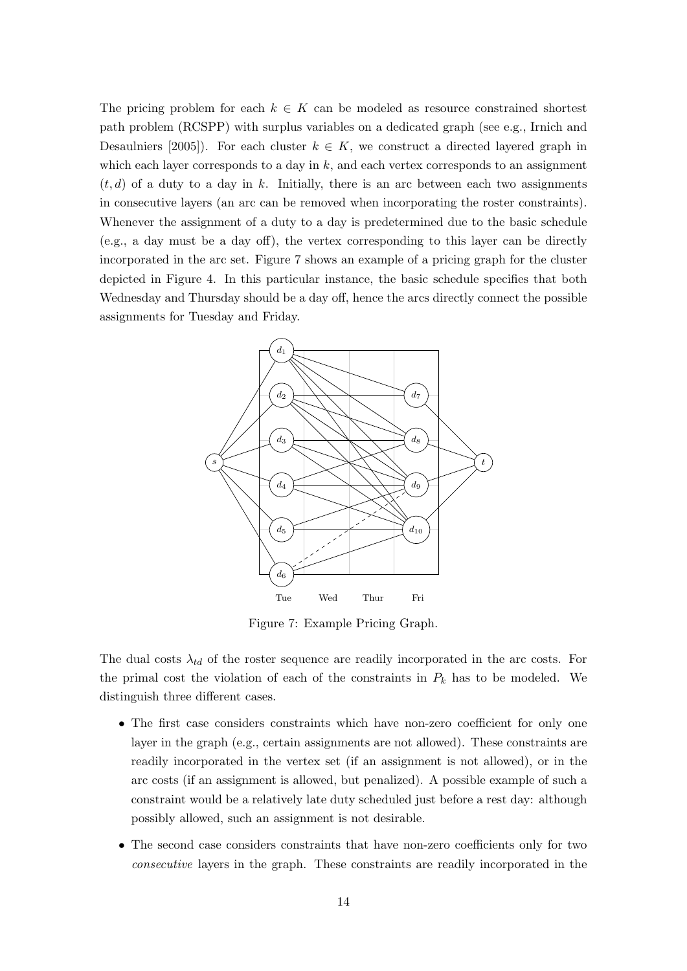The pricing problem for each  $k \in K$  can be modeled as resource constrained shortest path problem (RCSPP) with surplus variables on a dedicated graph (see e.g., Irnich and Desaulniers [2005]). For each cluster  $k \in K$ , we construct a directed layered graph in which each layer corresponds to a day in  $k$ , and each vertex corresponds to an assignment  $(t, d)$  of a duty to a day in k. Initially, there is an arc between each two assignments in consecutive layers (an arc can be removed when incorporating the roster constraints). Whenever the assignment of a duty to a day is predetermined due to the basic schedule (e.g., a day must be a day off), the vertex corresponding to this layer can be directly incorporated in the arc set. Figure 7 shows an example of a pricing graph for the cluster depicted in Figure 4. In this particular instance, the basic schedule specifies that both Wednesday and Thursday should be a day off, hence the arcs directly connect the possible assignments for Tuesday and Friday.



Figure 7: Example Pricing Graph.

The dual costs  $\lambda_{td}$  of the roster sequence are readily incorporated in the arc costs. For the primal cost the violation of each of the constraints in  $P_k$  has to be modeled. We distinguish three different cases.

- The first case considers constraints which have non-zero coefficient for only one layer in the graph (e.g., certain assignments are not allowed). These constraints are readily incorporated in the vertex set (if an assignment is not allowed), or in the arc costs (if an assignment is allowed, but penalized). A possible example of such a constraint would be a relatively late duty scheduled just before a rest day: although possibly allowed, such an assignment is not desirable.
- The second case considers constraints that have non-zero coefficients only for two consecutive layers in the graph. These constraints are readily incorporated in the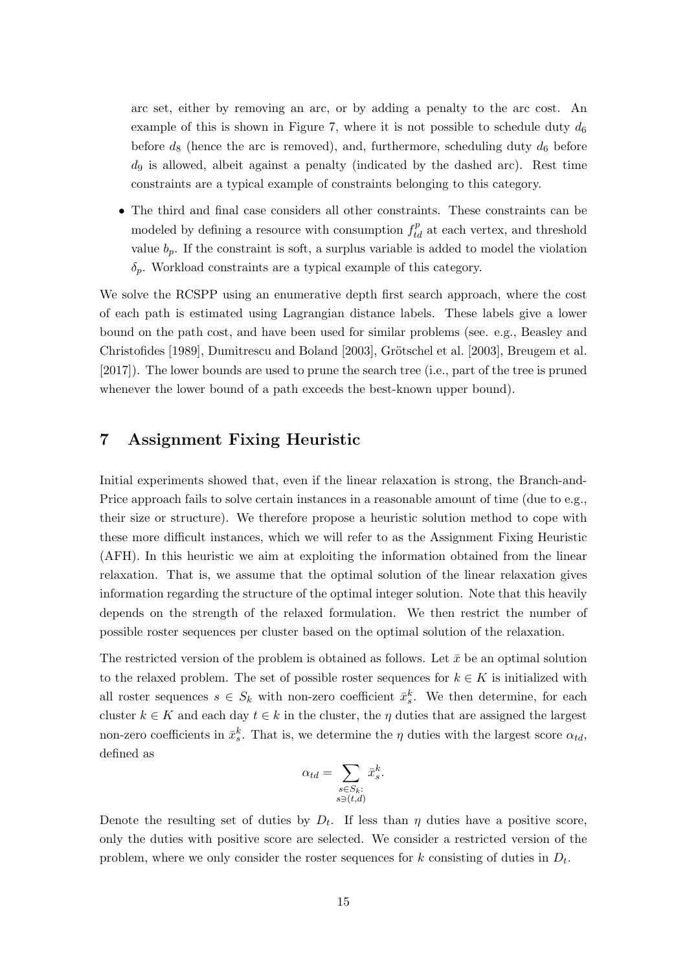arc set, either by removing an arc, or by adding a penalty to the arc cost. An example of this is shown in Figure 7, where it is not possible to schedule duty  $d_6$ before  $d_8$  (hence the arc is removed), and, furthermore, scheduling duty  $d_6$  before  $d_9$  is allowed, albeit against a penalty (indicated by the dashed arc). Rest time constraints are a typical example of constraints belonging to this category.

• The third and final case considers all other constraints. These constraints can be modeled by defining a resource with consumption  $f_{td}^p$  at each vertex, and threshold value  $b_p$ . If the constraint is soft, a surplus variable is added to model the violation  $\delta_p$ . Workload constraints are a typical example of this category.

We solve the RCSPP using an enumerative depth first search approach, where the cost of each path is estimated using Lagrangian distance labels. These labels give a lower bound on the path cost, and have been used for similar problems (see. e.g., Beasley and Christofides [1989], Dumitrescu and Boland [2003], Grötschel et al. [2003], Breugem et al. [2017]). The lower bounds are used to prune the search tree (i.e., part of the tree is pruned whenever the lower bound of a path exceeds the best-known upper bound).

## 7 Assignment Fixing Heuristic

Initial experiments showed that, even if the linear relaxation is strong, the Branch-and-Price approach fails to solve certain instances in a reasonable amount of time (due to e.g., their size or structure). We therefore propose a heuristic solution method to cope with these more difficult instances, which we will refer to as the Assignment Fixing Heuristic (AFH). In this heuristic we aim at exploiting the information obtained from the linear relaxation. That is, we assume that the optimal solution of the linear relaxation gives information regarding the structure of the optimal integer solution. Note that this heavily depends on the strength of the relaxed formulation. We then restrict the number of possible roster sequences per cluster based on the optimal solution of the relaxation.

The restricted version of the problem is obtained as follows. Let  $\bar{x}$  be an optimal solution to the relaxed problem. The set of possible roster sequences for  $k \in K$  is initialized with all roster sequences  $s \in S_k$  with non-zero coefficient  $\bar{x}_s^k$ . We then determine, for each cluster  $k \in K$  and each day  $t \in k$  in the cluster, the  $\eta$  duties that are assigned the largest non-zero coefficients in  $\bar{x}_s^k$ . That is, we determine the  $\eta$  duties with the largest score  $\alpha_{td}$ , defined as

$$
\alpha_{td} = \sum_{\substack{s \in S_k:\\s \ni (t,d)}} \bar{x}_s^k.
$$

Denote the resulting set of duties by  $D_t$ . If less than  $\eta$  duties have a positive score, only the duties with positive score are selected. We consider a restricted version of the problem, where we only consider the roster sequences for  $k$  consisting of duties in  $D_t$ .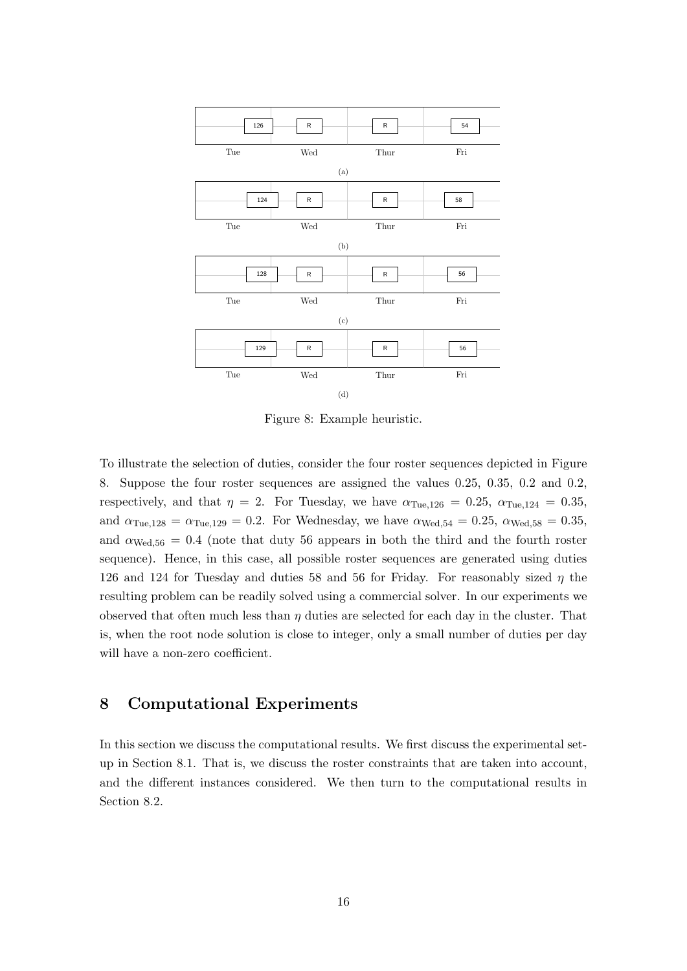

Figure 8: Example heuristic.

To illustrate the selection of duties, consider the four roster sequences depicted in Figure 8. Suppose the four roster sequences are assigned the values 0.25, 0.35, 0.2 and 0.2, respectively, and that  $\eta = 2$ . For Tuesday, we have  $\alpha_{\text{Tue},126} = 0.25$ ,  $\alpha_{\text{Tue},124} = 0.35$ , and  $\alpha_{\text{Tue},128} = \alpha_{\text{Tue},129} = 0.2$ . For Wednesday, we have  $\alpha_{\text{Wed},54} = 0.25$ ,  $\alpha_{\text{Wed},58} = 0.35$ , and  $\alpha_{\text{Wed.56}} = 0.4$  (note that duty 56 appears in both the third and the fourth roster sequence). Hence, in this case, all possible roster sequences are generated using duties 126 and 124 for Tuesday and duties 58 and 56 for Friday. For reasonably sized  $\eta$  the resulting problem can be readily solved using a commercial solver. In our experiments we observed that often much less than  $\eta$  duties are selected for each day in the cluster. That is, when the root node solution is close to integer, only a small number of duties per day will have a non-zero coefficient.

## 8 Computational Experiments

In this section we discuss the computational results. We first discuss the experimental setup in Section 8.1. That is, we discuss the roster constraints that are taken into account, and the different instances considered. We then turn to the computational results in Section 8.2.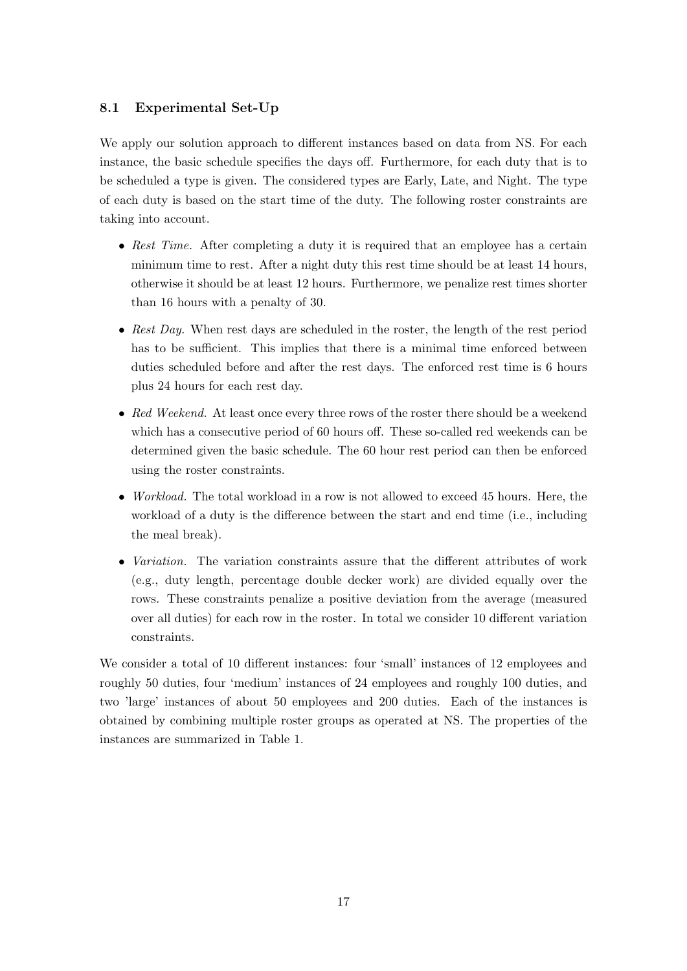## 8.1 Experimental Set-Up

We apply our solution approach to different instances based on data from NS. For each instance, the basic schedule specifies the days off. Furthermore, for each duty that is to be scheduled a type is given. The considered types are Early, Late, and Night. The type of each duty is based on the start time of the duty. The following roster constraints are taking into account.

- Rest Time. After completing a duty it is required that an employee has a certain minimum time to rest. After a night duty this rest time should be at least 14 hours, otherwise it should be at least 12 hours. Furthermore, we penalize rest times shorter than 16 hours with a penalty of 30.
- Rest Day. When rest days are scheduled in the roster, the length of the rest period has to be sufficient. This implies that there is a minimal time enforced between duties scheduled before and after the rest days. The enforced rest time is 6 hours plus 24 hours for each rest day.
- Red Weekend. At least once every three rows of the roster there should be a weekend which has a consecutive period of 60 hours off. These so-called red weekends can be determined given the basic schedule. The 60 hour rest period can then be enforced using the roster constraints.
- *Workload.* The total workload in a row is not allowed to exceed 45 hours. Here, the workload of a duty is the difference between the start and end time (i.e., including the meal break).
- *Variation*. The variation constraints assure that the different attributes of work (e.g., duty length, percentage double decker work) are divided equally over the rows. These constraints penalize a positive deviation from the average (measured over all duties) for each row in the roster. In total we consider 10 different variation constraints.

We consider a total of 10 different instances: four 'small' instances of 12 employees and roughly 50 duties, four 'medium' instances of 24 employees and roughly 100 duties, and two 'large' instances of about 50 employees and 200 duties. Each of the instances is obtained by combining multiple roster groups as operated at NS. The properties of the instances are summarized in Table 1.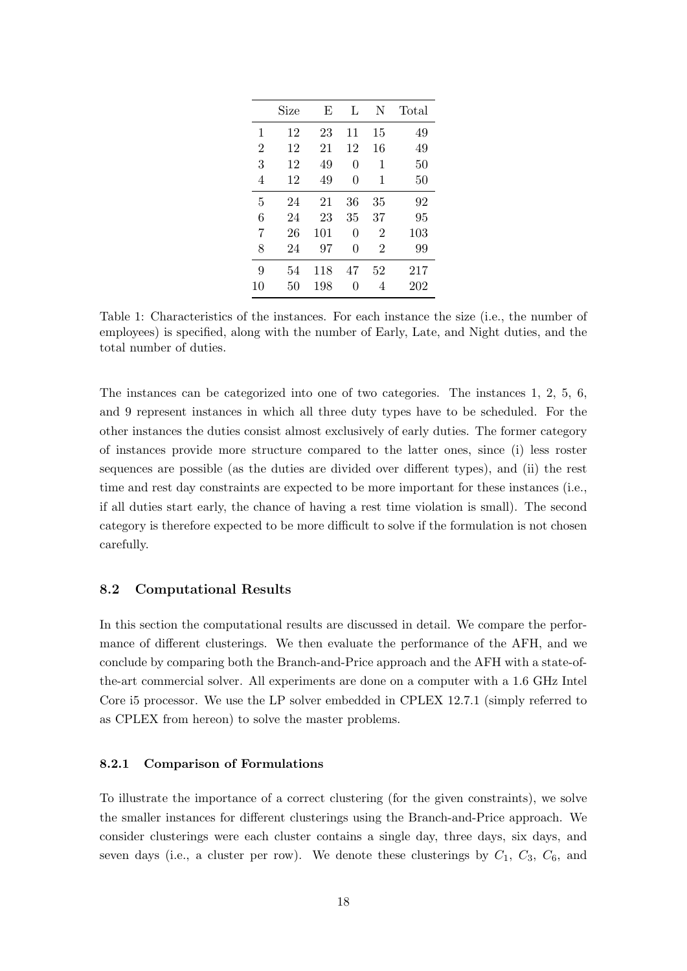|                | Size | E   | L  | N              | Total |
|----------------|------|-----|----|----------------|-------|
| 1              | 12   | 23  | 11 | 15             | 49    |
| $\overline{2}$ | 12   | 21  | 12 | 16             | 49    |
| 3              | 12   | 49  | 0  | 1              | 50    |
| 4              | 12   | 49  | 0  | 1              | 50    |
| 5              | 24   | 21  | 36 | 35             | 92    |
| 6              | 24   | 23  | 35 | 37             | 95    |
| 7              | 26   | 101 | 0  | $\overline{2}$ | 103   |
| 8              | 24   | 97  | 0  | $\overline{2}$ | 99    |
| 9              | 54   | 118 | 47 | 52             | 217   |
| 10             | 50   | 198 | 0  | 4              | 202   |

Table 1: Characteristics of the instances. For each instance the size (i.e., the number of employees) is specified, along with the number of Early, Late, and Night duties, and the total number of duties.

The instances can be categorized into one of two categories. The instances 1, 2, 5, 6, and 9 represent instances in which all three duty types have to be scheduled. For the other instances the duties consist almost exclusively of early duties. The former category of instances provide more structure compared to the latter ones, since (i) less roster sequences are possible (as the duties are divided over different types), and (ii) the rest time and rest day constraints are expected to be more important for these instances (i.e., if all duties start early, the chance of having a rest time violation is small). The second category is therefore expected to be more difficult to solve if the formulation is not chosen carefully.

#### 8.2 Computational Results

In this section the computational results are discussed in detail. We compare the performance of different clusterings. We then evaluate the performance of the AFH, and we conclude by comparing both the Branch-and-Price approach and the AFH with a state-ofthe-art commercial solver. All experiments are done on a computer with a 1.6 GHz Intel Core i5 processor. We use the LP solver embedded in CPLEX 12.7.1 (simply referred to as CPLEX from hereon) to solve the master problems.

#### 8.2.1 Comparison of Formulations

To illustrate the importance of a correct clustering (for the given constraints), we solve the smaller instances for different clusterings using the Branch-and-Price approach. We consider clusterings were each cluster contains a single day, three days, six days, and seven days (i.e., a cluster per row). We denote these clusterings by  $C_1$ ,  $C_3$ ,  $C_6$ , and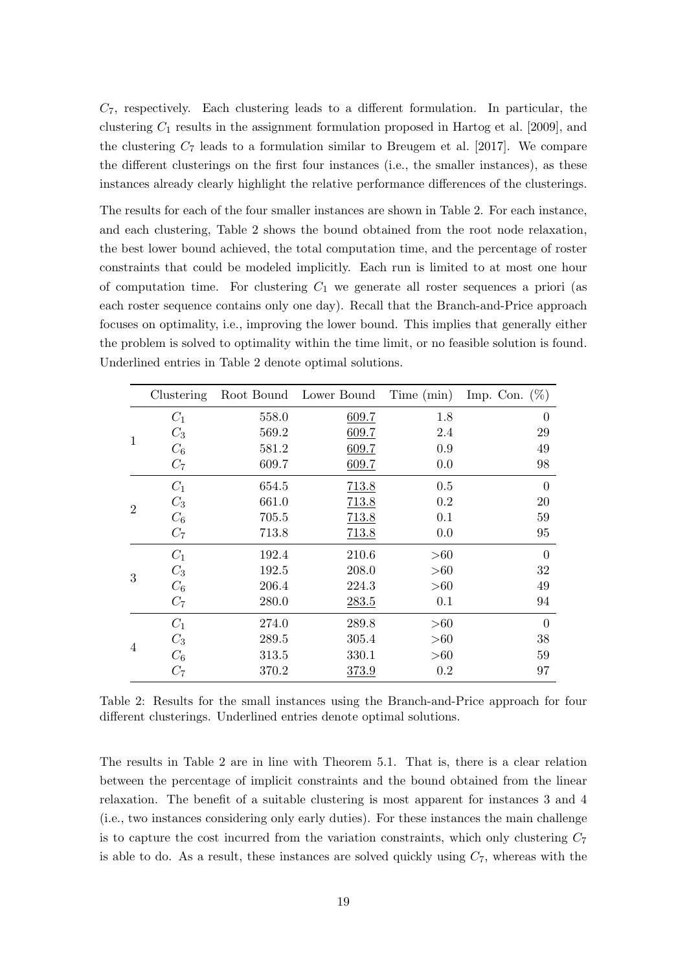$C_7$ , respectively. Each clustering leads to a different formulation. In particular, the clustering  $C_1$  results in the assignment formulation proposed in Hartog et al. [2009], and the clustering  $C_7$  leads to a formulation similar to Breugem et al. [2017]. We compare the different clusterings on the first four instances (i.e., the smaller instances), as these instances already clearly highlight the relative performance differences of the clusterings.

The results for each of the four smaller instances are shown in Table 2. For each instance, and each clustering, Table 2 shows the bound obtained from the root node relaxation, the best lower bound achieved, the total computation time, and the percentage of roster constraints that could be modeled implicitly. Each run is limited to at most one hour of computation time. For clustering  $C_1$  we generate all roster sequences a priori (as each roster sequence contains only one day). Recall that the Branch-and-Price approach focuses on optimality, i.e., improving the lower bound. This implies that generally either the problem is solved to optimality within the time limit, or no feasible solution is found. Underlined entries in Table 2 denote optimal solutions.

|                | Clustering |       |       |     | Root Bound Lower Bound Time (min) Imp. Con. $(\%)$ |
|----------------|------------|-------|-------|-----|----------------------------------------------------|
| 1              | $C_1$      | 558.0 | 609.7 | 1.8 | $\theta$                                           |
|                | $C_3$      | 569.2 | 609.7 | 2.4 | 29                                                 |
|                | $C_6$      | 581.2 | 609.7 | 0.9 | 49                                                 |
|                | $C_7$      | 609.7 | 609.7 | 0.0 | 98                                                 |
| $\overline{2}$ | $C_1$      | 654.5 | 713.8 | 0.5 | $\theta$                                           |
|                | $C_3$      | 661.0 | 713.8 | 0.2 | 20                                                 |
|                | $C_6$      | 705.5 | 713.8 | 0.1 | 59                                                 |
|                | $C_7$      | 713.8 | 713.8 | 0.0 | 95                                                 |
|                | $C_1$      | 192.4 | 210.6 | >60 | $\theta$                                           |
| 3              | $C_3$      | 192.5 | 208.0 | >60 | 32                                                 |
|                | $C_6$      | 206.4 | 224.3 | >60 | 49                                                 |
|                | $C_7$      | 280.0 | 283.5 | 0.1 | 94                                                 |
|                | $C_1$      | 274.0 | 289.8 | >60 | $\theta$                                           |
| 4              | $C_3$      | 289.5 | 305.4 | >60 | 38                                                 |
|                | $C_6$      | 313.5 | 330.1 | >60 | 59                                                 |
|                | $C_7$      | 370.2 | 373.9 | 0.2 | 97                                                 |

Table 2: Results for the small instances using the Branch-and-Price approach for four different clusterings. Underlined entries denote optimal solutions.

The results in Table 2 are in line with Theorem 5.1. That is, there is a clear relation between the percentage of implicit constraints and the bound obtained from the linear relaxation. The benefit of a suitable clustering is most apparent for instances 3 and 4 (i.e., two instances considering only early duties). For these instances the main challenge is to capture the cost incurred from the variation constraints, which only clustering  $C_7$ is able to do. As a result, these instances are solved quickly using  $C_7$ , whereas with the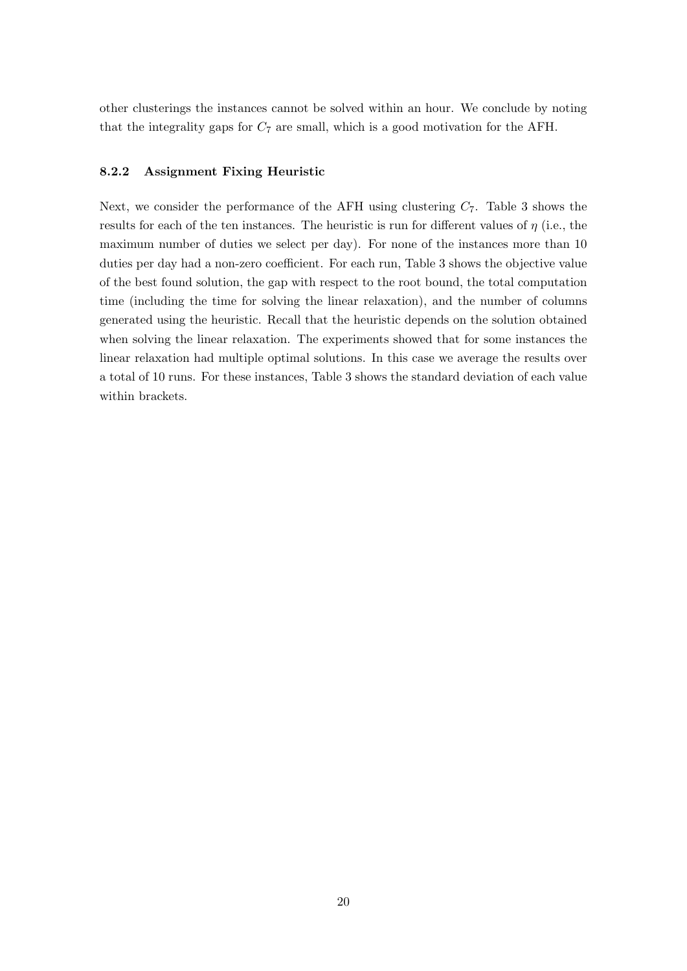other clusterings the instances cannot be solved within an hour. We conclude by noting that the integrality gaps for  $C_7$  are small, which is a good motivation for the AFH.

#### 8.2.2 Assignment Fixing Heuristic

Next, we consider the performance of the AFH using clustering  $C_7$ . Table 3 shows the results for each of the ten instances. The heuristic is run for different values of  $\eta$  (i.e., the maximum number of duties we select per day). For none of the instances more than 10 duties per day had a non-zero coefficient. For each run, Table 3 shows the objective value of the best found solution, the gap with respect to the root bound, the total computation time (including the time for solving the linear relaxation), and the number of columns generated using the heuristic. Recall that the heuristic depends on the solution obtained when solving the linear relaxation. The experiments showed that for some instances the linear relaxation had multiple optimal solutions. In this case we average the results over a total of 10 runs. For these instances, Table 3 shows the standard deviation of each value within brackets.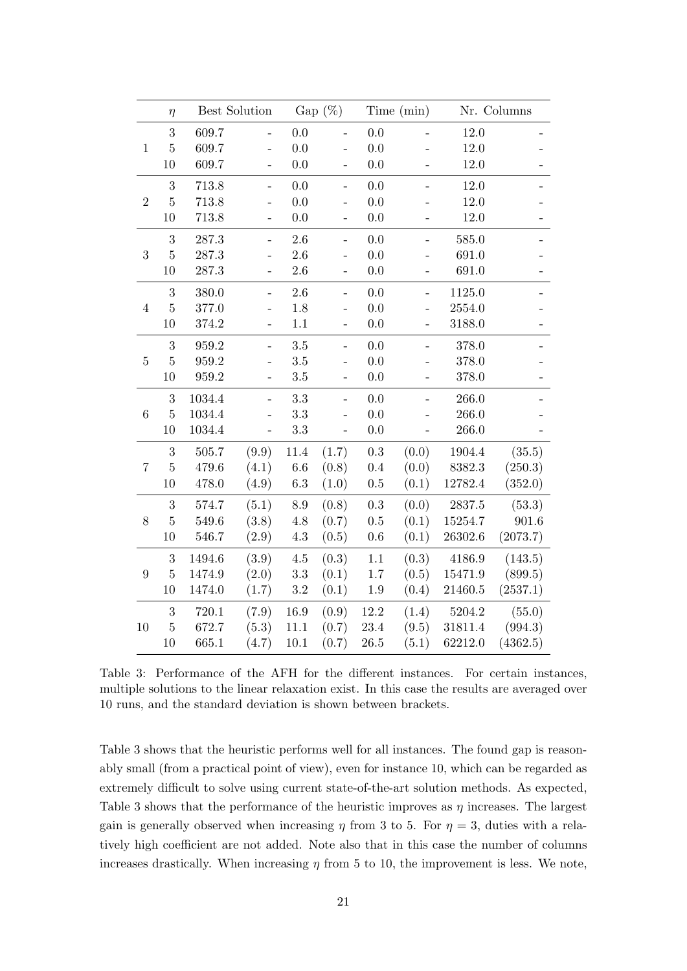|                  | $\eta$         | Best Solution |                          |           | Gap $(\%)$<br>Time (min) |          |                          | Nr. Columns |          |
|------------------|----------------|---------------|--------------------------|-----------|--------------------------|----------|--------------------------|-------------|----------|
|                  | 3              | 609.7         |                          | 0.0       |                          | 0.0      |                          | 12.0        |          |
| $\,1$            | $\bf 5$        | 609.7         |                          | 0.0       |                          | $0.0\,$  |                          | 12.0        |          |
|                  | 10             | 609.7         |                          | 0.0       | $\overline{a}$           | 0.0      |                          | 12.0        |          |
| $\sqrt{2}$       | 3              | 713.8         | $\overline{a}$           | 0.0       | $\overline{a}$           | 0.0      |                          | 12.0        |          |
|                  | $\overline{5}$ | 713.8         | $\overline{a}$           | 0.0       | $\overline{\phantom{0}}$ | 0.0      |                          | 12.0        |          |
|                  | 10             | 713.8         | $\overline{\phantom{0}}$ | 0.0       | $\overline{\phantom{0}}$ | $0.0\,$  | $\qquad \qquad -$        | 12.0        |          |
|                  | $\sqrt{3}$     | 287.3         | $\overline{a}$           | 2.6       | $\overline{\phantom{0}}$ | 0.0      | $\overline{\phantom{m}}$ | 585.0       |          |
| $\sqrt{3}$       | $\overline{5}$ | 287.3         |                          | 2.6       |                          | 0.0      |                          | 691.0       |          |
|                  | 10             | 287.3         | -                        | $2.6\,$   | $\overline{\phantom{0}}$ | $0.0\,$  |                          | 691.0       |          |
|                  | $\sqrt{3}$     | 380.0         | $\overline{a}$           | 2.6       | $\qquad \qquad -$        | 0.0      | $\qquad \qquad -$        | 1125.0      |          |
| $\overline{4}$   | $\overline{5}$ | 377.0         |                          | $1.8\,$   |                          | 0.0      |                          | 2554.0      |          |
|                  | 10             | 374.2         | $\overline{\phantom{0}}$ | $1.1\,$   | $\overline{\phantom{0}}$ | $0.0\,$  | $\qquad \qquad -$        | 3188.0      |          |
| $\bf 5$          | $\sqrt{3}$     | 959.2         |                          | $3.5\,$   | $\overline{\phantom{0}}$ | 0.0      |                          | 378.0       |          |
|                  | $\overline{5}$ | $959.2\,$     |                          | $3.5\,$   | $\overline{\phantom{0}}$ | $0.0\,$  |                          | 378.0       |          |
|                  | 10             | $959.2\,$     | -                        | $3.5\,$   | $\overline{a}$           | 0.0      |                          | 378.0       |          |
|                  | $\sqrt{3}$     | 1034.4        | $\overline{a}$           | $\!3.3$   | $\overline{a}$           | 0.0      | $\overline{a}$           | 266.0       |          |
| $\,6\,$          | $\overline{5}$ | 1034.4        |                          | 3.3       |                          | 0.0      |                          | 266.0       |          |
|                  | 10             | 1034.4        |                          | $\!3.3$   |                          | $0.0\,$  |                          | 266.0       |          |
|                  | 3              | 505.7         | (9.9)                    | $11.4\,$  | (1.7)                    | 0.3      | (0.0)                    | 1904.4      | (35.5)   |
| $\overline{7}$   | $\bf 5$        | 479.6         | (4.1)                    | $6.6\,$   | (0.8)                    | $0.4\,$  | (0.0)                    | 8382.3      | (250.3)  |
|                  | $10\,$         | 478.0         | (4.9)                    | $6.3\,$   | (1.0)                    | $0.5\,$  | (0.1)                    | 12782.4     | (352.0)  |
|                  | $\overline{3}$ | 574.7         | (5.1)                    | 8.9       | (0.8)                    | 0.3      | (0.0)                    | 2837.5      | (53.3)   |
| $8\,$            | $\overline{5}$ | 549.6         | (3.8)                    | $4.8\,$   | (0.7)                    | 0.5      | (0.1)                    | 15254.7     | 901.6    |
|                  | $10\,$         | 546.7         | (2.9)                    | $4.3\,$   | (0.5)                    | $0.6\,$  | (0.1)                    | 26302.6     | (2073.7) |
|                  | $\sqrt{3}$     | 1494.6        | (3.9)                    | $4.5\,$   | (0.3)                    | $1.1\,$  | (0.3)                    | 4186.9      | (143.5)  |
| $\boldsymbol{9}$ | $\overline{5}$ | 1474.9        | (2.0)                    | $\!3.3$   | (0.1)                    | $1.7\,$  | (0.5)                    | 15471.9     | (899.5)  |
|                  | $10\,$         | 1474.0        | (1.7)                    | $\!3.2\!$ | (0.1)                    | $1.9\,$  | (0.4)                    | 21460.5     | (2537.1) |
|                  | $\mathbf{3}$   | 720.1         | (7.9)                    | 16.9      | (0.9)                    | 12.2     | (1.4)                    | 5204.2      | (55.0)   |
| 10               | $\overline{5}$ | 672.7         | (5.3)                    | 11.1      | (0.7)                    | 23.4     | (9.5)                    | 31811.4     | (994.3)  |
|                  | 10             | 665.1         | (4.7)                    | $10.1\,$  | (0.7)                    | $26.5\,$ | (5.1)                    | 62212.0     | (4362.5) |

Table 3: Performance of the AFH for the different instances. For certain instances, multiple solutions to the linear relaxation exist. In this case the results are averaged over 10 runs, and the standard deviation is shown between brackets.

Table 3 shows that the heuristic performs well for all instances. The found gap is reasonably small (from a practical point of view), even for instance 10, which can be regarded as extremely difficult to solve using current state-of-the-art solution methods. As expected, Table 3 shows that the performance of the heuristic improves as  $\eta$  increases. The largest gain is generally observed when increasing  $\eta$  from 3 to 5. For  $\eta = 3$ , duties with a relatively high coefficient are not added. Note also that in this case the number of columns increases drastically. When increasing  $\eta$  from 5 to 10, the improvement is less. We note,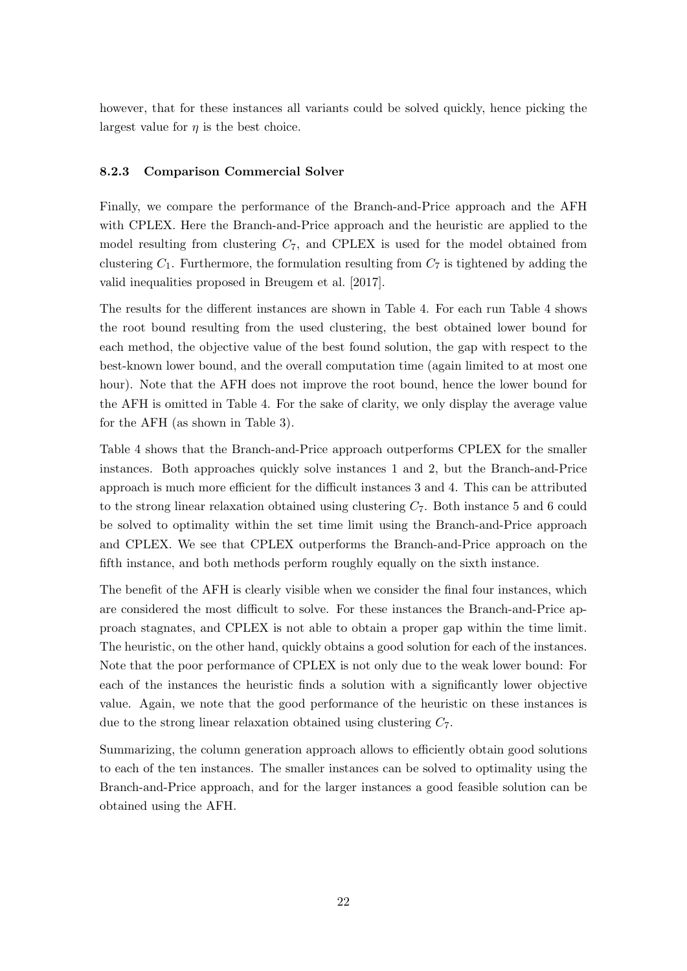however, that for these instances all variants could be solved quickly, hence picking the largest value for  $\eta$  is the best choice.

#### 8.2.3 Comparison Commercial Solver

Finally, we compare the performance of the Branch-and-Price approach and the AFH with CPLEX. Here the Branch-and-Price approach and the heuristic are applied to the model resulting from clustering  $C_7$ , and CPLEX is used for the model obtained from clustering  $C_1$ . Furthermore, the formulation resulting from  $C_7$  is tightened by adding the valid inequalities proposed in Breugem et al. [2017].

The results for the different instances are shown in Table 4. For each run Table 4 shows the root bound resulting from the used clustering, the best obtained lower bound for each method, the objective value of the best found solution, the gap with respect to the best-known lower bound, and the overall computation time (again limited to at most one hour). Note that the AFH does not improve the root bound, hence the lower bound for the AFH is omitted in Table 4. For the sake of clarity, we only display the average value for the AFH (as shown in Table 3).

Table 4 shows that the Branch-and-Price approach outperforms CPLEX for the smaller instances. Both approaches quickly solve instances 1 and 2, but the Branch-and-Price approach is much more efficient for the difficult instances 3 and 4. This can be attributed to the strong linear relaxation obtained using clustering  $C_7$ . Both instance 5 and 6 could be solved to optimality within the set time limit using the Branch-and-Price approach and CPLEX. We see that CPLEX outperforms the Branch-and-Price approach on the fifth instance, and both methods perform roughly equally on the sixth instance.

The benefit of the AFH is clearly visible when we consider the final four instances, which are considered the most difficult to solve. For these instances the Branch-and-Price approach stagnates, and CPLEX is not able to obtain a proper gap within the time limit. The heuristic, on the other hand, quickly obtains a good solution for each of the instances. Note that the poor performance of CPLEX is not only due to the weak lower bound: For each of the instances the heuristic finds a solution with a significantly lower objective value. Again, we note that the good performance of the heuristic on these instances is due to the strong linear relaxation obtained using clustering  $C_7$ .

Summarizing, the column generation approach allows to efficiently obtain good solutions to each of the ten instances. The smaller instances can be solved to optimality using the Branch-and-Price approach, and for the larger instances a good feasible solution can be obtained using the AFH.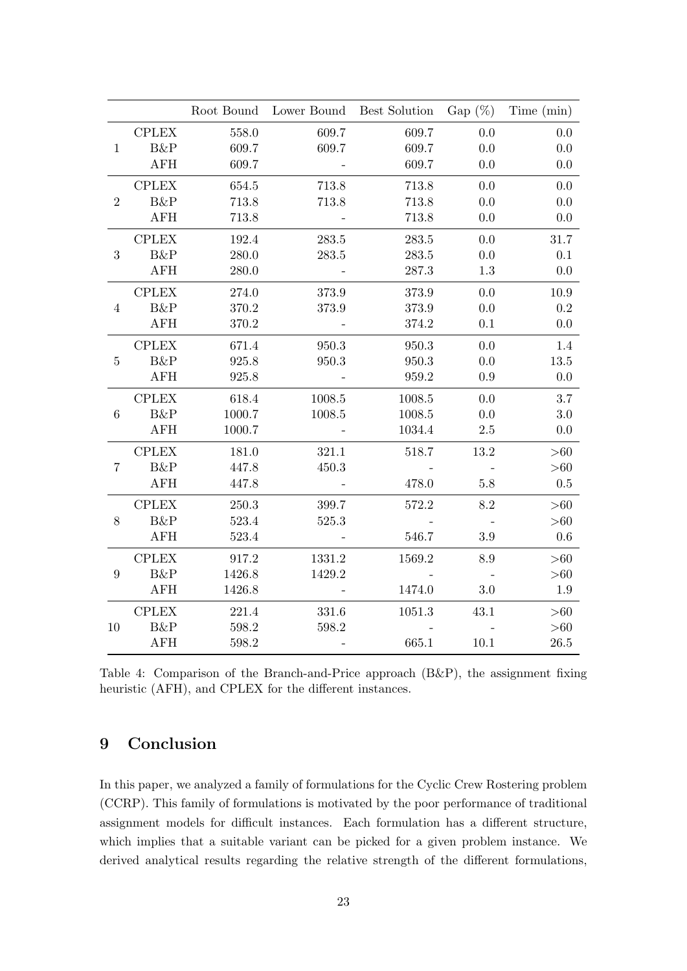|                  |                |           | Root Bound Lower Bound Best Solution |        | $Gap(\%)$ | Time (min) |
|------------------|----------------|-----------|--------------------------------------|--------|-----------|------------|
|                  | <b>CPLEX</b>   | 558.0     | 609.7                                | 609.7  | 0.0       | 0.0        |
| $\mathbf{1}$     | <b>B&amp;P</b> | 609.7     | 609.7                                | 609.7  | 0.0       | 0.0        |
|                  | <b>AFH</b>     | 609.7     |                                      | 609.7  | 0.0       | 0.0        |
| $\overline{2}$   | <b>CPLEX</b>   | 654.5     | 713.8                                | 713.8  | 0.0       | 0.0        |
|                  | <b>B&amp;P</b> | 713.8     | 713.8                                | 713.8  | 0.0       | 0.0        |
|                  | <b>AFH</b>     | 713.8     |                                      | 713.8  | 0.0       | 0.0        |
|                  | <b>CPLEX</b>   | 192.4     | 283.5                                | 283.5  | 0.0       | 31.7       |
| 3                | B&P            | 280.0     | 283.5                                | 283.5  | 0.0       | 0.1        |
|                  | <b>AFH</b>     | 280.0     | $\sim 100$                           | 287.3  | 1.3       | 0.0        |
|                  | <b>CPLEX</b>   | 274.0     | 373.9                                | 373.9  | 0.0       | 10.9       |
| 4                | <b>B&amp;P</b> | 370.2     | 373.9                                | 373.9  | 0.0       | $0.2\,$    |
|                  | <b>AFH</b>     | 370.2     |                                      | 374.2  | 0.1       | 0.0        |
|                  | <b>CPLEX</b>   | 671.4     | 950.3                                | 950.3  | 0.0       | 1.4        |
| $\overline{5}$   | <b>B&amp;P</b> | 925.8     | 950.3                                | 950.3  | 0.0       | 13.5       |
|                  | AFH            | 925.8     |                                      | 959.2  | $0.9\,$   | 0.0        |
|                  | <b>CPLEX</b>   | $618.4\,$ | 1008.5                               | 1008.5 | 0.0       | 3.7        |
| $6\phantom{.}6$  | <b>B&amp;P</b> | 1000.7    | 1008.5                               | 1008.5 | 0.0       | 3.0        |
|                  | <b>AFH</b>     | 1000.7    |                                      | 1034.4 | $2.5\,$   | 0.0        |
| $\overline{7}$   | <b>CPLEX</b>   | 181.0     | 321.1                                | 518.7  | 13.2      | >60        |
|                  | <b>B&amp;P</b> | 447.8     | 450.3                                |        |           | >60        |
|                  | <b>AFH</b>     | 447.8     |                                      | 478.0  | $5.8\,$   | 0.5        |
|                  | <b>CPLEX</b>   | 250.3     | 399.7                                | 572.2  | 8.2       | >60        |
| 8                | B&P            | 523.4     | 525.3                                |        |           | >60        |
|                  | AFH            | 523.4     |                                      | 546.7  | 3.9       | 0.6        |
| $\boldsymbol{9}$ | <b>CPLEX</b>   | 917.2     | 1331.2                               | 1569.2 | 8.9       | >60        |
|                  | <b>B&amp;P</b> | 1426.8    | 1429.2                               |        |           | >60        |
|                  | <b>AFH</b>     | 1426.8    |                                      | 1474.0 | 3.0       | 1.9        |
|                  | <b>CPLEX</b>   | 221.4     | 331.6                                | 1051.3 | 43.1      | >60        |
| 10               | <b>B&amp;P</b> | 598.2     | 598.2                                |        |           | >60        |
|                  | <b>AFH</b>     | 598.2     |                                      | 665.1  | 10.1      | 26.5       |

Table 4: Comparison of the Branch-and-Price approach (B&P), the assignment fixing heuristic (AFH), and CPLEX for the different instances.

# 9 Conclusion

In this paper, we analyzed a family of formulations for the Cyclic Crew Rostering problem (CCRP). This family of formulations is motivated by the poor performance of traditional assignment models for difficult instances. Each formulation has a different structure, which implies that a suitable variant can be picked for a given problem instance. We derived analytical results regarding the relative strength of the different formulations,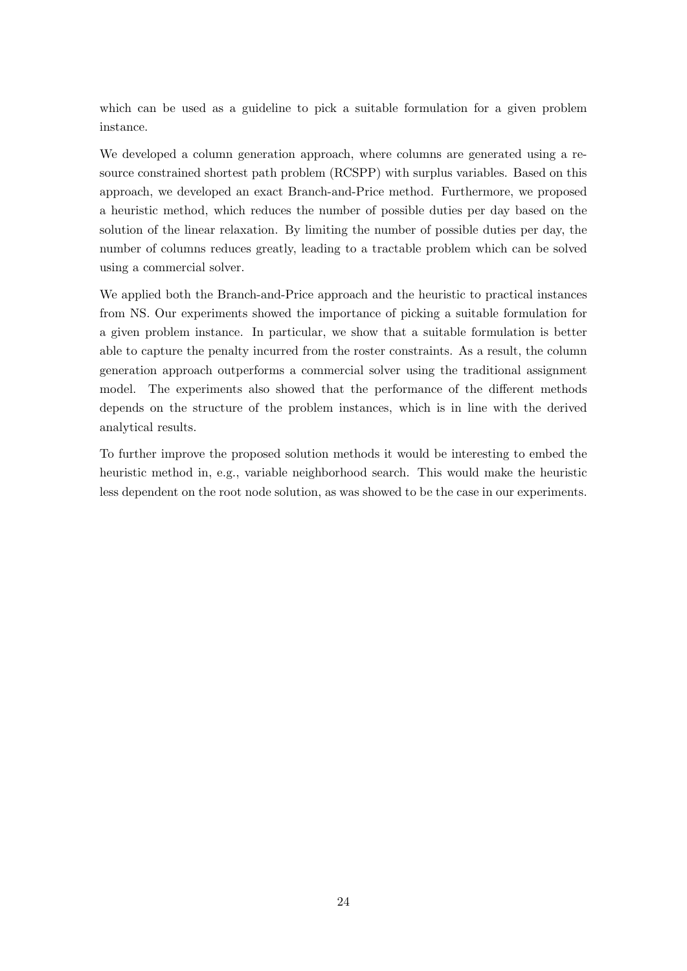which can be used as a guideline to pick a suitable formulation for a given problem instance.

We developed a column generation approach, where columns are generated using a resource constrained shortest path problem (RCSPP) with surplus variables. Based on this approach, we developed an exact Branch-and-Price method. Furthermore, we proposed a heuristic method, which reduces the number of possible duties per day based on the solution of the linear relaxation. By limiting the number of possible duties per day, the number of columns reduces greatly, leading to a tractable problem which can be solved using a commercial solver.

We applied both the Branch-and-Price approach and the heuristic to practical instances from NS. Our experiments showed the importance of picking a suitable formulation for a given problem instance. In particular, we show that a suitable formulation is better able to capture the penalty incurred from the roster constraints. As a result, the column generation approach outperforms a commercial solver using the traditional assignment model. The experiments also showed that the performance of the different methods depends on the structure of the problem instances, which is in line with the derived analytical results.

To further improve the proposed solution methods it would be interesting to embed the heuristic method in, e.g., variable neighborhood search. This would make the heuristic less dependent on the root node solution, as was showed to be the case in our experiments.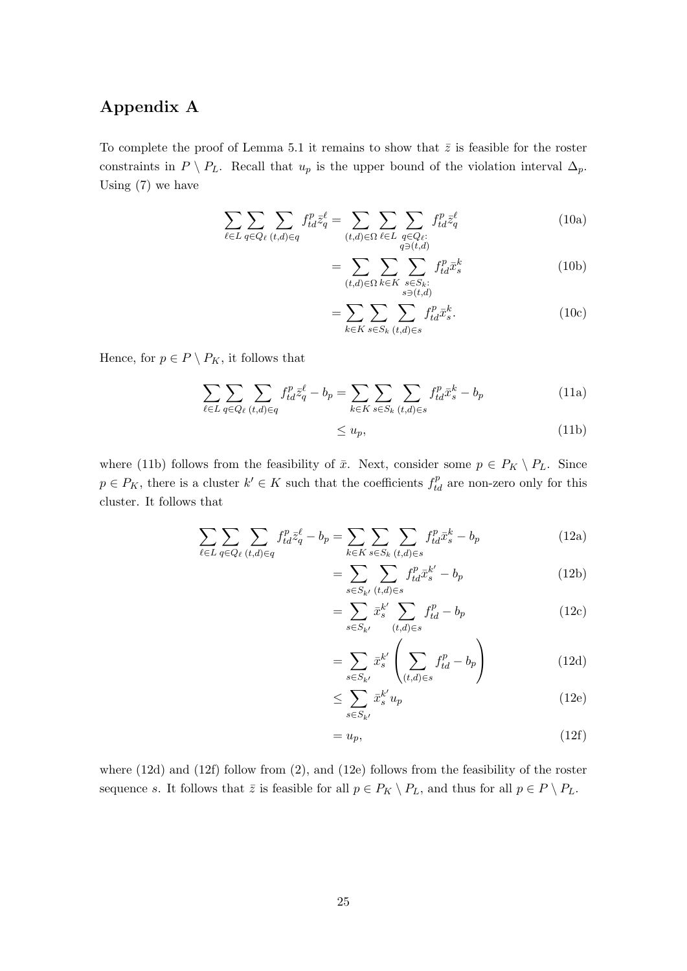## Appendix A

To complete the proof of Lemma 5.1 it remains to show that  $\bar{z}$  is feasible for the roster constraints in  $P \setminus P_L$ . Recall that  $u_p$  is the upper bound of the violation interval  $\Delta_p$ . Using (7) we have

$$
\sum_{\ell \in L} \sum_{q \in Q_{\ell}} \sum_{(t,d) \in q} f_{td}^p \bar{z}_q^{\ell} = \sum_{(t,d) \in \Omega} \sum_{\ell \in L} \sum_{\substack{q \in Q_{\ell}: \ q \ni (t,d)}} f_{td}^p \bar{z}_q^{\ell} \tag{10a}
$$

$$
= \sum_{(t,d)\in\Omega} \sum_{k\in K} \sum_{\substack{s\in S_k:\\s \ni (t,d)}} f_{td}^p \bar{x}_s^k \tag{10b}
$$

$$
=\sum_{k\in K}\sum_{s\in S_k}\sum_{(t,d)\in s}f_{td}^p\bar{x}_s^k.\tag{10c}
$$

Hence, for  $p \in P \setminus P_K$ , it follows that

$$
\sum_{\ell \in L} \sum_{q \in Q_{\ell}} \sum_{(t,d) \in q} f_{td}^p \bar{z}_q^{\ell} - b_p = \sum_{k \in K} \sum_{s \in S_k} \sum_{(t,d) \in s} f_{td}^p \bar{x}_s^k - b_p \tag{11a}
$$

$$
\leq u_p,\tag{11b}
$$

where (11b) follows from the feasibility of  $\bar{x}$ . Next, consider some  $p \in P_K \setminus P_L$ . Since  $p \in P_K$ , there is a cluster  $k' \in K$  such that the coefficients  $f_{td}^p$  are non-zero only for this cluster. It follows that

$$
\sum_{\ell \in L} \sum_{q \in Q_{\ell}} \sum_{(t,d) \in q} f_{td}^p \bar{z}_q^{\ell} - b_p = \sum_{k \in K} \sum_{s \in S_k} \sum_{(t,d) \in s} f_{td}^p \bar{x}_s^k - b_p \tag{12a}
$$

$$
=\sum_{s\in S_{k'}}\sum_{(t,d)\in s}f_{td}^p\bar{x}_s^{k'}-b_p\tag{12b}
$$

$$
=\sum_{s\in S_{k'}}\bar{x}_{s}^{k'}\sum_{(t,d)\in s}f_{td}^{p}-b_{p}\tag{12c}
$$

$$
=\sum_{s\in S_{k'}}\bar{x}_{s}^{k'}\left(\sum_{(t,d)\in s}f_{td}^p-b_p\right) \tag{12d}
$$

$$
\leq \sum_{s \in S_{k'}} \bar{x}_s^{k'} u_p \tag{12e}
$$

$$
=u_p,\t\t(12f)
$$

where (12d) and (12f) follow from (2), and (12e) follows from the feasibility of the roster sequence s. It follows that  $\bar{z}$  is feasible for all  $p \in P_K \setminus P_L$ , and thus for all  $p \in P \setminus P_L$ .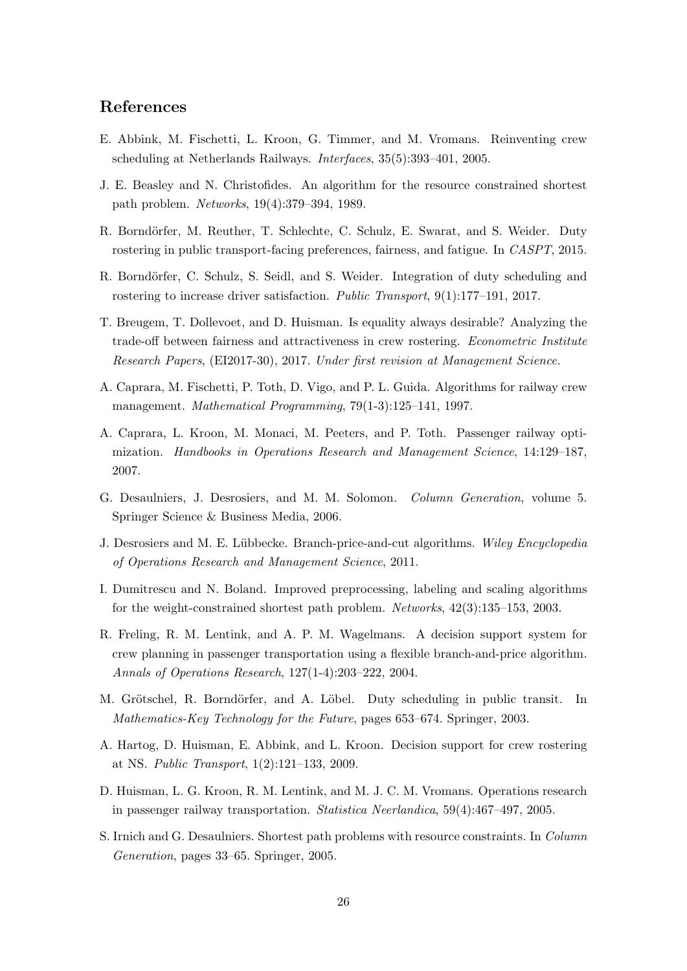## References

- E. Abbink, M. Fischetti, L. Kroon, G. Timmer, and M. Vromans. Reinventing crew scheduling at Netherlands Railways. Interfaces, 35(5):393–401, 2005.
- J. E. Beasley and N. Christofides. An algorithm for the resource constrained shortest path problem. Networks, 19(4):379–394, 1989.
- R. Borndörfer, M. Reuther, T. Schlechte, C. Schulz, E. Swarat, and S. Weider. Duty rostering in public transport-facing preferences, fairness, and fatigue. In CASPT, 2015.
- R. Borndörfer, C. Schulz, S. Seidl, and S. Weider. Integration of duty scheduling and rostering to increase driver satisfaction. Public Transport, 9(1):177-191, 2017.
- T. Breugem, T. Dollevoet, and D. Huisman. Is equality always desirable? Analyzing the trade-off between fairness and attractiveness in crew rostering. Econometric Institute Research Papers, (EI2017-30), 2017. Under first revision at Management Science.
- A. Caprara, M. Fischetti, P. Toth, D. Vigo, and P. L. Guida. Algorithms for railway crew management. Mathematical Programming, 79(1-3):125–141, 1997.
- A. Caprara, L. Kroon, M. Monaci, M. Peeters, and P. Toth. Passenger railway optimization. Handbooks in Operations Research and Management Science, 14:129–187, 2007.
- G. Desaulniers, J. Desrosiers, and M. M. Solomon. Column Generation, volume 5. Springer Science & Business Media, 2006.
- J. Desrosiers and M. E. Lübbecke. Branch-price-and-cut algorithms. Wiley Encyclopedia of Operations Research and Management Science, 2011.
- I. Dumitrescu and N. Boland. Improved preprocessing, labeling and scaling algorithms for the weight-constrained shortest path problem. Networks, 42(3):135–153, 2003.
- R. Freling, R. M. Lentink, and A. P. M. Wagelmans. A decision support system for crew planning in passenger transportation using a flexible branch-and-price algorithm. Annals of Operations Research, 127(1-4):203–222, 2004.
- M. Grötschel, R. Borndörfer, and A. Löbel. Duty scheduling in public transit. In Mathematics-Key Technology for the Future, pages 653–674. Springer, 2003.
- A. Hartog, D. Huisman, E. Abbink, and L. Kroon. Decision support for crew rostering at NS. Public Transport, 1(2):121–133, 2009.
- D. Huisman, L. G. Kroon, R. M. Lentink, and M. J. C. M. Vromans. Operations research in passenger railway transportation. Statistica Neerlandica, 59(4):467–497, 2005.
- S. Irnich and G. Desaulniers. Shortest path problems with resource constraints. In Column Generation, pages 33–65. Springer, 2005.